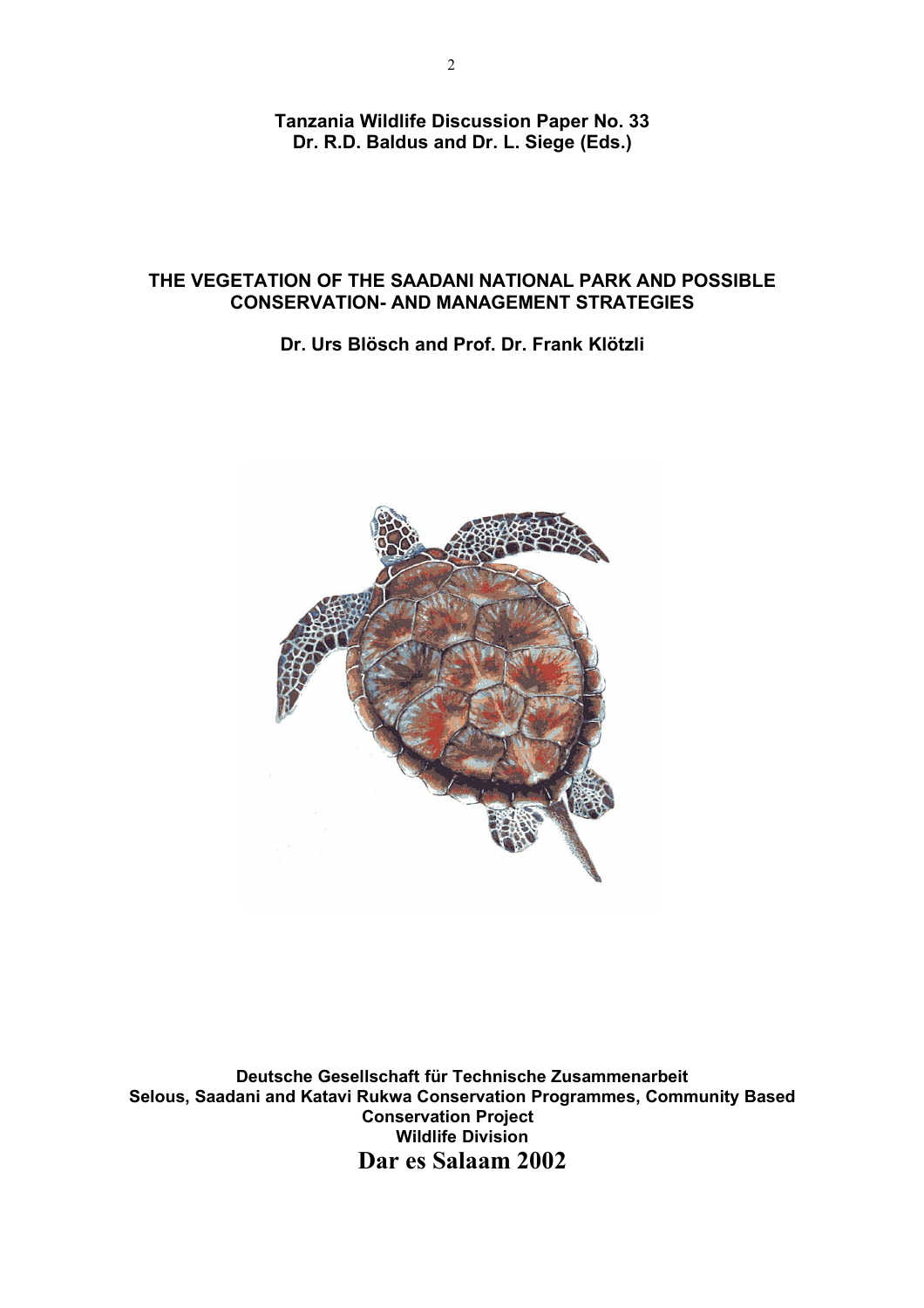**Tanzania Wildlife Discussion Paper No. 33 Dr. R.D. Baldus and Dr. L. Siege (Eds.)**

#### **THE VEGETATION OF THE SAADANI NATIONAL PARK AND POSSIBLE CONSERVATION- AND MANAGEMENT STRATEGIES**

**Dr. Urs Blösch and Prof. Dr. Frank Klötzli**



**Deutsche Gesellschaft für Technische Zusammenarbeit Selous, Saadani and Katavi Rukwa Conservation Programmes, Community Based Conservation Project Wildlife Division Dar es Salaam 2002**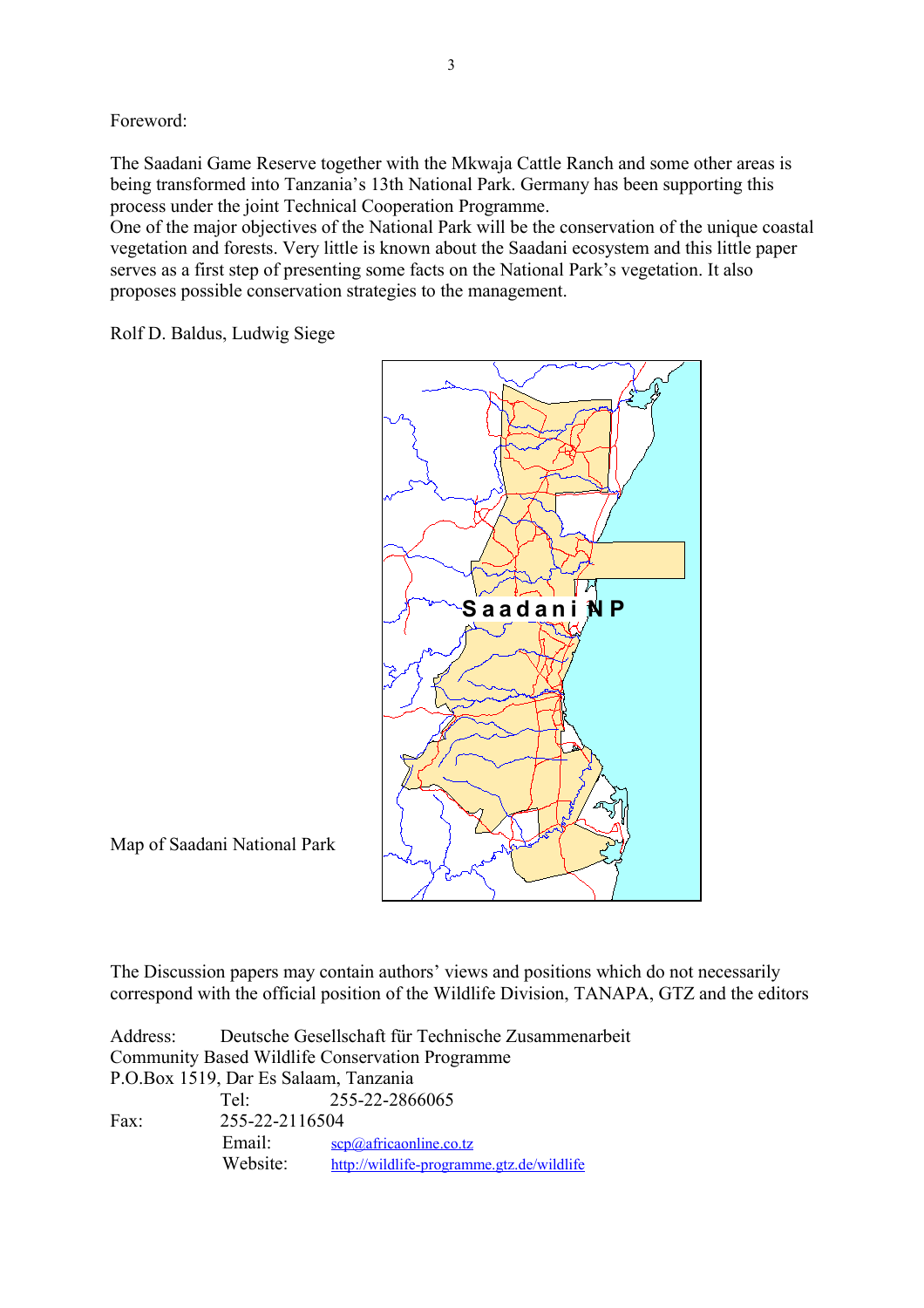Foreword:

The Saadani Game Reserve together with the Mkwaja Cattle Ranch and some other areas is being transformed into Tanzania's 13th National Park. Germany has been supporting this process under the joint Technical Cooperation Programme.

One of the major objectives of the National Park will be the conservation of the unique coastal vegetation and forests. Very little is known about the Saadani ecosystem and this little paper serves as a first step of presenting some facts on the National Park's vegetation. It also proposes possible conservation strategies to the management.

Rolf D. Baldus, Ludwig Siege



Map of Saadani National Park

The Discussion papers may contain authors' views and positions which do not necessarily correspond with the official position of the Wildlife Division, TANAPA, GTZ and the editors

|                                                 |                | Address: Deutsche Gesellschaft für Technische Zusammenarbeit |  |  |  |
|-------------------------------------------------|----------------|--------------------------------------------------------------|--|--|--|
| Community Based Wildlife Conservation Programme |                |                                                              |  |  |  |
| P.O.Box 1519, Dar Es Salaam, Tanzania           |                |                                                              |  |  |  |
|                                                 |                | Tel: 255-22-2866065                                          |  |  |  |
| Fax:                                            | 255-22-2116504 |                                                              |  |  |  |
|                                                 | Email:         | $\frac{\text{scp}(a)}{a$ africaonline.co.tz                  |  |  |  |
|                                                 | Website:       | http://wildlife-programme.gtz.de/wildlife                    |  |  |  |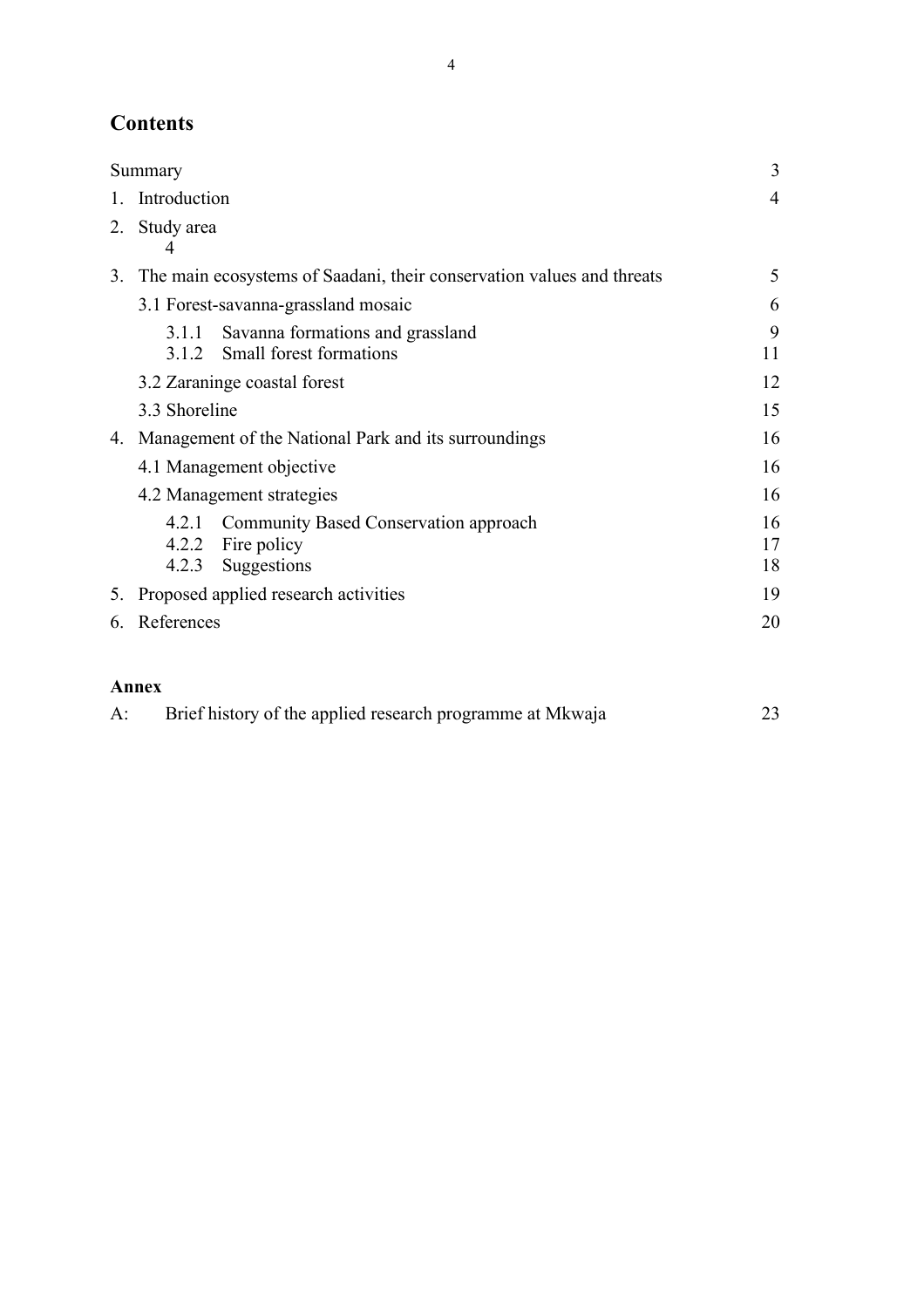# **Contents**

|         | Summary         |                                                                           | 3              |
|---------|-----------------|---------------------------------------------------------------------------|----------------|
| $1_{-}$ | Introduction    |                                                                           | $\overline{4}$ |
| 2.      | Study area<br>4 |                                                                           |                |
|         |                 | 3. The main ecosystems of Saadani, their conservation values and threats  | 5              |
|         |                 | 3.1 Forest-savanna-grassland mosaic                                       | 6              |
|         | 3.1.1           | Savanna formations and grassland<br>3.1.2 Small forest formations         | 9<br>11        |
|         |                 | 3.2 Zaraninge coastal forest                                              | 12             |
|         | 3.3 Shoreline   |                                                                           | 15             |
| 4.      |                 | Management of the National Park and its surroundings                      | 16             |
|         |                 | 4.1 Management objective                                                  | 16             |
|         |                 | 4.2 Management strategies                                                 | 16             |
|         | 421<br>4.2.2    | Community Based Conservation approach<br>Fire policy<br>4.2.3 Suggestions | 16<br>17<br>18 |
|         |                 | 5. Proposed applied research activities                                   | 19             |
|         | 6. References   |                                                                           | 20             |

#### **Annex**

| Brief history of the applied research programme at Mkwaja | 23 |
|-----------------------------------------------------------|----|
|                                                           |    |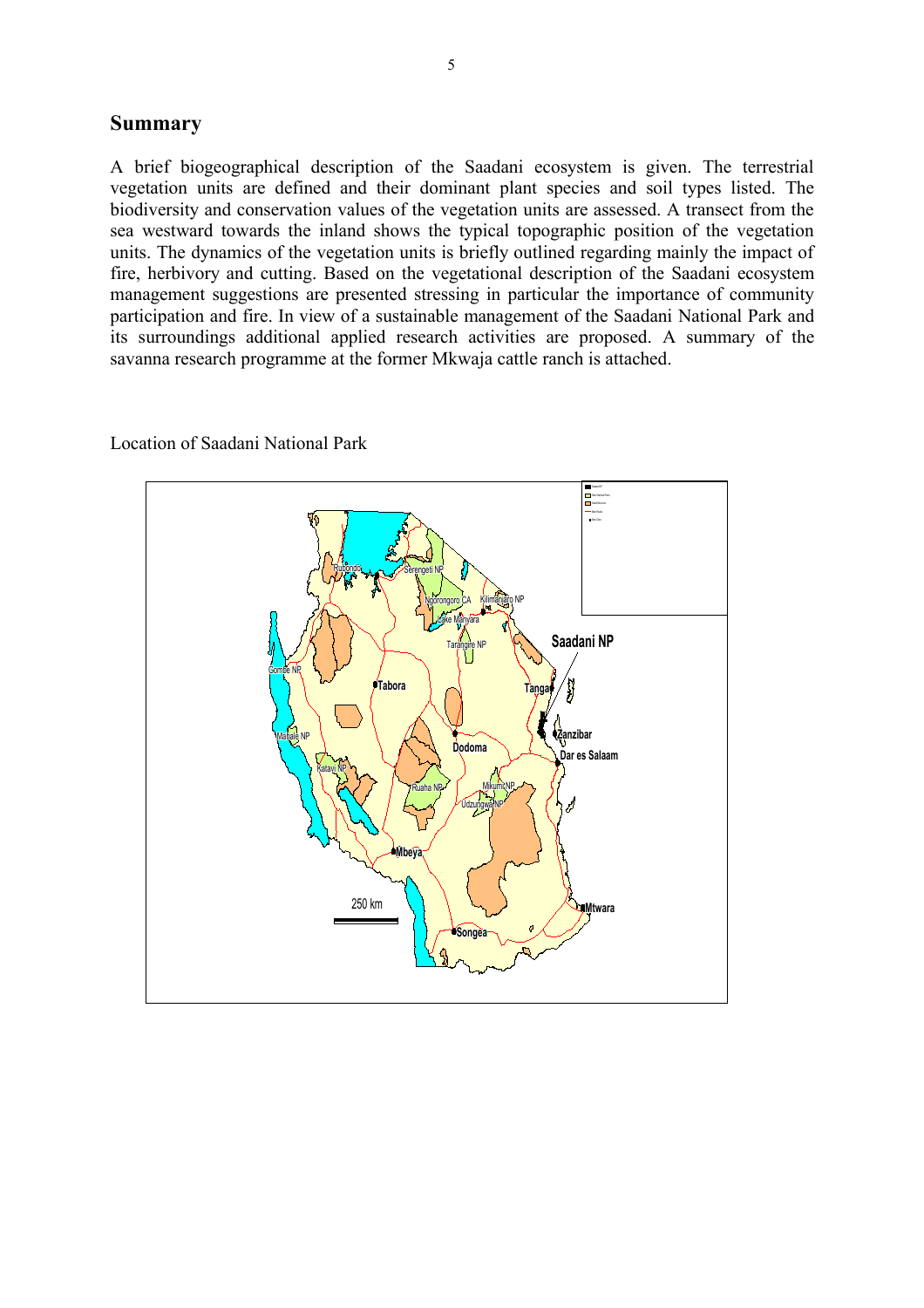#### **Summary**

A brief biogeographical description of the Saadani ecosystem is given. The terrestrial vegetation units are defined and their dominant plant species and soil types listed. The biodiversity and conservation values of the vegetation units are assessed. A transect from the sea westward towards the inland shows the typical topographic position of the vegetation units. The dynamics of the vegetation units is briefly outlined regarding mainly the impact of fire, herbivory and cutting. Based on the vegetational description of the Saadani ecosystem management suggestions are presented stressing in particular the importance of community participation and fire. In view of a sustainable management of the Saadani National Park and its surroundings additional applied research activities are proposed. A summary of the savanna research programme at the former Mkwaja cattle ranch is attached.



#### Location of Saadani National Park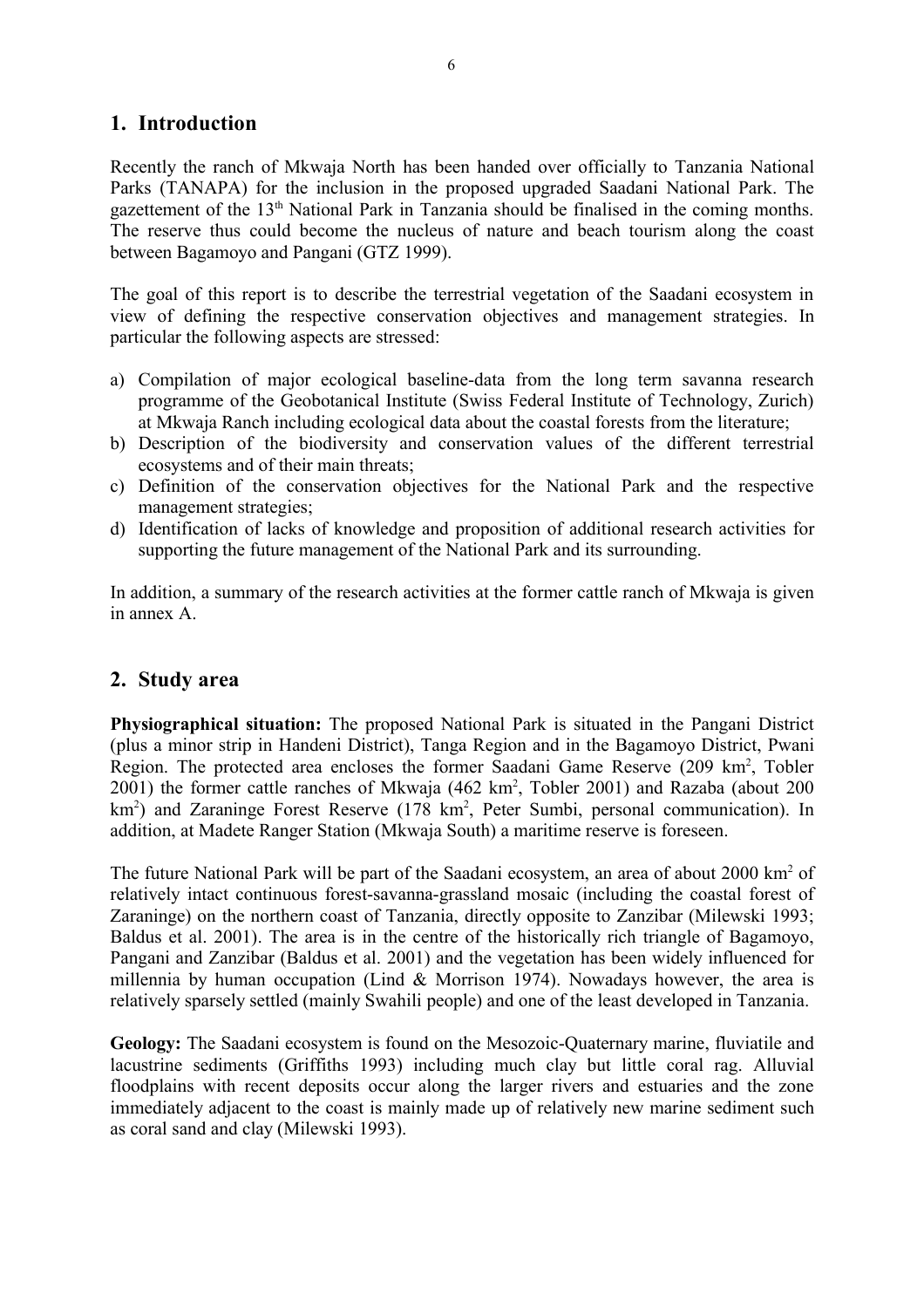# **1. Introduction**

Recently the ranch of Mkwaja North has been handed over officially to Tanzania National Parks (TANAPA) for the inclusion in the proposed upgraded Saadani National Park. The gazettement of the 13<sup>th</sup> National Park in Tanzania should be finalised in the coming months. The reserve thus could become the nucleus of nature and beach tourism along the coast between Bagamoyo and Pangani (GTZ 1999).

The goal of this report is to describe the terrestrial vegetation of the Saadani ecosystem in view of defining the respective conservation objectives and management strategies. In particular the following aspects are stressed:

- a) Compilation of major ecological baseline-data from the long term savanna research programme of the Geobotanical Institute (Swiss Federal Institute of Technology, Zurich) at Mkwaja Ranch including ecological data about the coastal forests from the literature;
- b) Description of the biodiversity and conservation values of the different terrestrial ecosystems and of their main threats;
- c) Definition of the conservation objectives for the National Park and the respective management strategies;
- d) Identification of lacks of knowledge and proposition of additional research activities for supporting the future management of the National Park and its surrounding.

In addition, a summary of the research activities at the former cattle ranch of Mkwaja is given in annex A.

# **2. Study area**

**Physiographical situation:** The proposed National Park is situated in the Pangani District (plus a minor strip in Handeni District), Tanga Region and in the Bagamoyo District, Pwani Region. The protected area encloses the former Saadani Game Reserve (209 km<sup>2</sup>, Tobler  $2001$ ) the former cattle ranches of Mkwaja  $(462 \text{ km}^2, \text{ Tobler } 2001)$  and Razaba (about  $200$ km<sup>2</sup>) and Zaraninge Forest Reserve (178 km<sup>2</sup>, Peter Sumbi, personal communication). In addition, at Madete Ranger Station (Mkwaja South) a maritime reserve is foreseen.

The future National Park will be part of the Saadani ecosystem, an area of about 2000 km<sup>2</sup> of relatively intact continuous forest-savanna-grassland mosaic (including the coastal forest of Zaraninge) on the northern coast of Tanzania, directly opposite to Zanzibar (Milewski 1993; Baldus et al. 2001). The area is in the centre of the historically rich triangle of Bagamoyo, Pangani and Zanzibar (Baldus et al. 2001) and the vegetation has been widely influenced for millennia by human occupation (Lind  $\&$  Morrison 1974). Nowadays however, the area is relatively sparsely settled (mainly Swahili people) and one of the least developed in Tanzania.

**Geology:** The Saadani ecosystem is found on the Mesozoic-Quaternary marine, fluviatile and lacustrine sediments (Griffiths 1993) including much clay but little coral rag. Alluvial floodplains with recent deposits occur along the larger rivers and estuaries and the zone immediately adjacent to the coast is mainly made up of relatively new marine sediment such as coral sand and clay (Milewski 1993).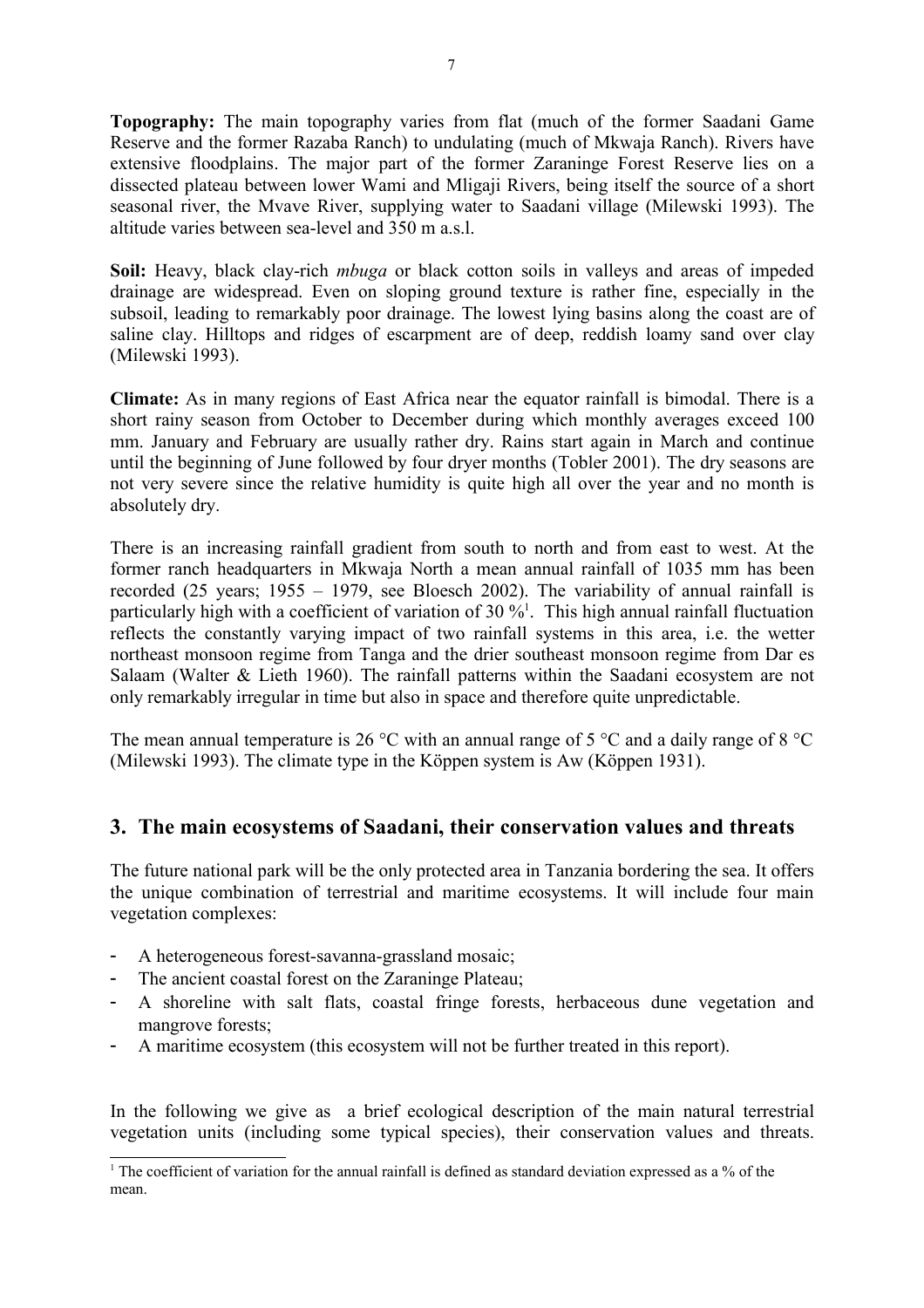**Topography:** The main topography varies from flat (much of the former Saadani Game Reserve and the former Razaba Ranch) to undulating (much of Mkwaja Ranch). Rivers have extensive floodplains. The major part of the former Zaraninge Forest Reserve lies on a dissected plateau between lower Wami and Mligaji Rivers, being itself the source of a short seasonal river, the Mvave River, supplying water to Saadani village (Milewski 1993). The altitude varies between sea-level and 350 m a.s.l.

**Soil:** Heavy, black clay-rich *mbuga* or black cotton soils in valleys and areas of impeded drainage are widespread. Even on sloping ground texture is rather fine, especially in the subsoil, leading to remarkably poor drainage. The lowest lying basins along the coast are of saline clay. Hilltops and ridges of escarpment are of deep, reddish loamy sand over clay (Milewski 1993).

**Climate:** As in many regions of East Africa near the equator rainfall is bimodal. There is a short rainy season from October to December during which monthly averages exceed 100 mm. January and February are usually rather dry. Rains start again in March and continue until the beginning of June followed by four dryer months (Tobler 2001). The dry seasons are not very severe since the relative humidity is quite high all over the year and no month is absolutely dry.

There is an increasing rainfall gradient from south to north and from east to west. At the former ranch headquarters in Mkwaja North a mean annual rainfall of 1035 mm has been recorded (25 years; 1955 – 1979, see Bloesch 2002). The variability of annual rainfall is particularly high with a coefficient of variation of 30  $\%$ <sup>1</sup>. This high annual rainfall fluctuation reflects the constantly varying impact of two rainfall systems in this area, i.e. the wetter northeast monsoon regime from Tanga and the drier southeast monsoon regime from Dar es Salaam (Walter & Lieth 1960). The rainfall patterns within the Saadani ecosystem are not only remarkably irregular in time but also in space and therefore quite unpredictable.

The mean annual temperature is 26 °C with an annual range of 5 °C and a daily range of 8 °C (Milewski 1993). The climate type in the Köppen system is Aw (Köppen 1931).

# **3. The main ecosystems of Saadani, their conservation values and threats**

The future national park will be the only protected area in Tanzania bordering the sea. It offers the unique combination of terrestrial and maritime ecosystems. It will include four main vegetation complexes:

- A heterogeneous forest-savanna-grassland mosaic;
- The ancient coastal forest on the Zaraninge Plateau;
- A shoreline with salt flats, coastal fringe forests, herbaceous dune vegetation and mangrove forests;
- A maritime ecosystem (this ecosystem will not be further treated in this report).

In the following we give as a brief ecological description of the main natural terrestrial vegetation units (including some typical species), their conservation values and threats.

<sup>&</sup>lt;sup>1</sup> The coefficient of variation for the annual rainfall is defined as standard deviation expressed as a % of the mean.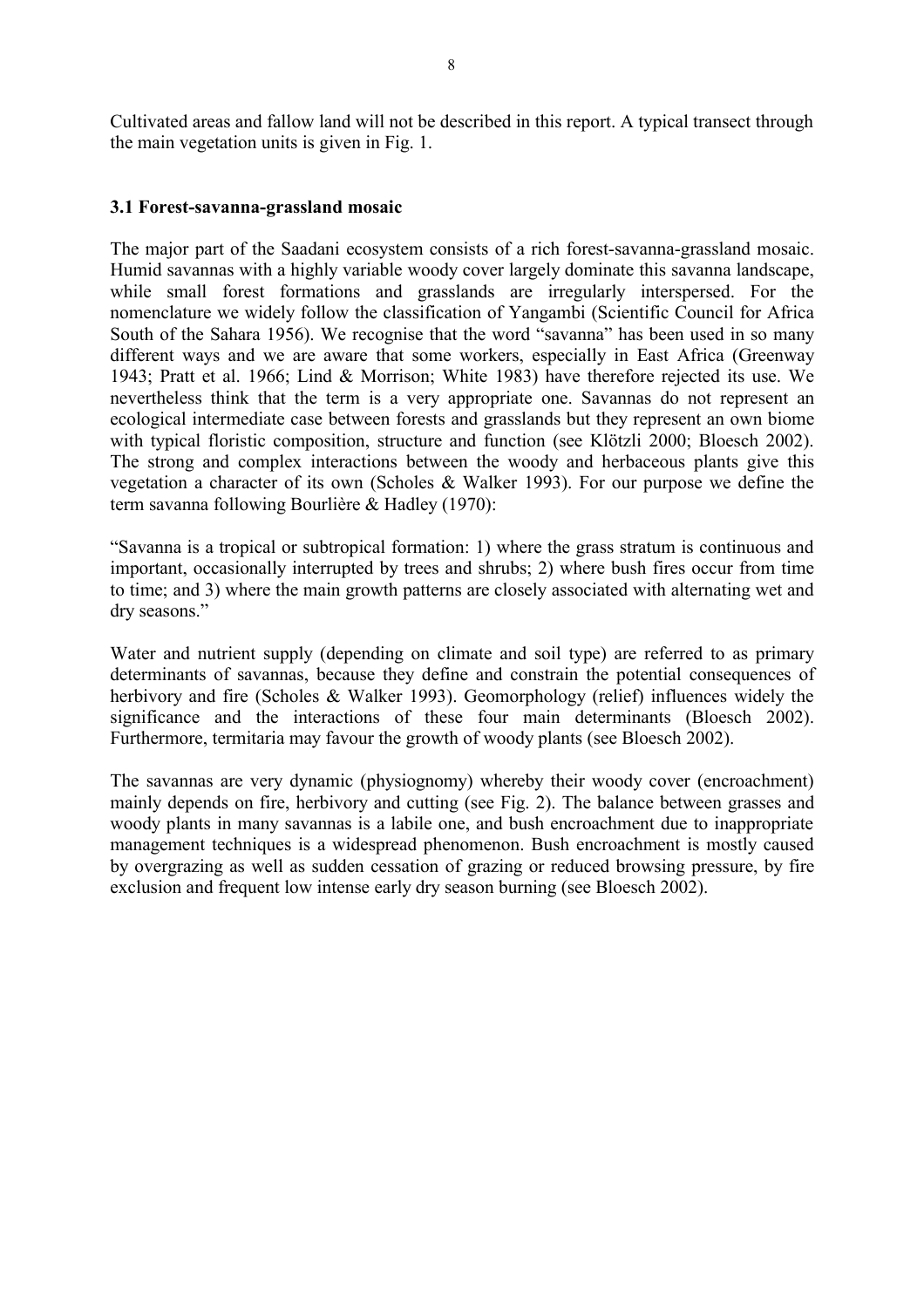Cultivated areas and fallow land will not be described in this report. A typical transect through the main vegetation units is given in Fig. 1.

#### **3.1 Forest-savanna-grassland mosaic**

The major part of the Saadani ecosystem consists of a rich forest-savanna-grassland mosaic. Humid savannas with a highly variable woody cover largely dominate this savanna landscape, while small forest formations and grasslands are irregularly interspersed. For the nomenclature we widely follow the classification of Yangambi (Scientific Council for Africa South of the Sahara 1956). We recognise that the word "savanna" has been used in so many different ways and we are aware that some workers, especially in East Africa (Greenway 1943; Pratt et al. 1966; Lind & Morrison; White 1983) have therefore rejected its use. We nevertheless think that the term is a very appropriate one. Savannas do not represent an ecological intermediate case between forests and grasslands but they represent an own biome with typical floristic composition, structure and function (see Klötzli 2000; Bloesch 2002). The strong and complex interactions between the woody and herbaceous plants give this vegetation a character of its own (Scholes & Walker 1993). For our purpose we define the term savanna following Bourlière & Hadley (1970):

"Savanna is a tropical or subtropical formation: 1) where the grass stratum is continuous and important, occasionally interrupted by trees and shrubs; 2) where bush fires occur from time to time; and 3) where the main growth patterns are closely associated with alternating wet and dry seasons."

Water and nutrient supply (depending on climate and soil type) are referred to as primary determinants of savannas, because they define and constrain the potential consequences of herbivory and fire (Scholes & Walker 1993). Geomorphology (relief) influences widely the significance and the interactions of these four main determinants (Bloesch 2002). Furthermore, termitaria may favour the growth of woody plants (see Bloesch 2002).

The savannas are very dynamic (physiognomy) whereby their woody cover (encroachment) mainly depends on fire, herbivory and cutting (see Fig. 2). The balance between grasses and woody plants in many savannas is a labile one, and bush encroachment due to inappropriate management techniques is a widespread phenomenon. Bush encroachment is mostly caused by overgrazing as well as sudden cessation of grazing or reduced browsing pressure, by fire exclusion and frequent low intense early dry season burning (see Bloesch 2002).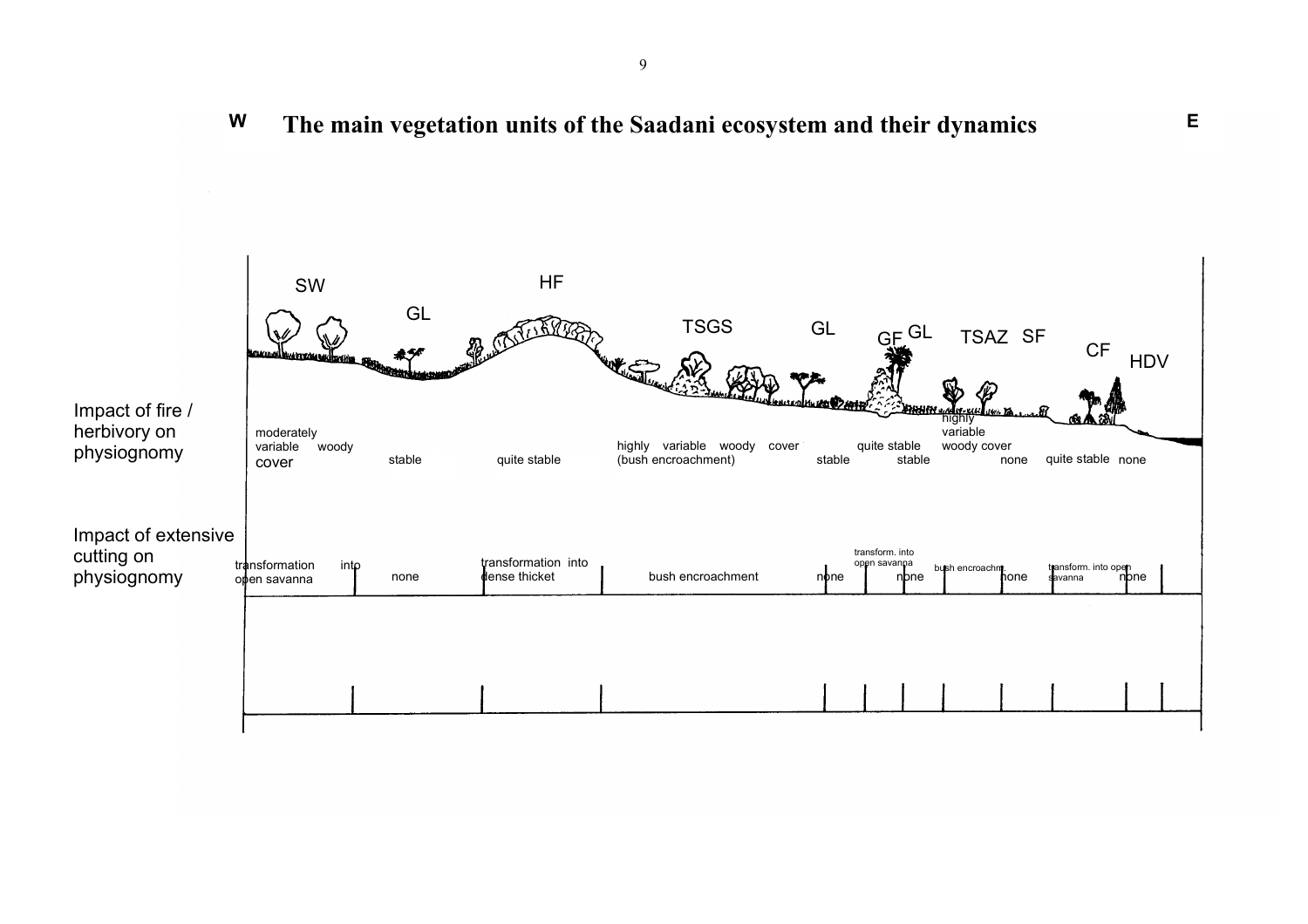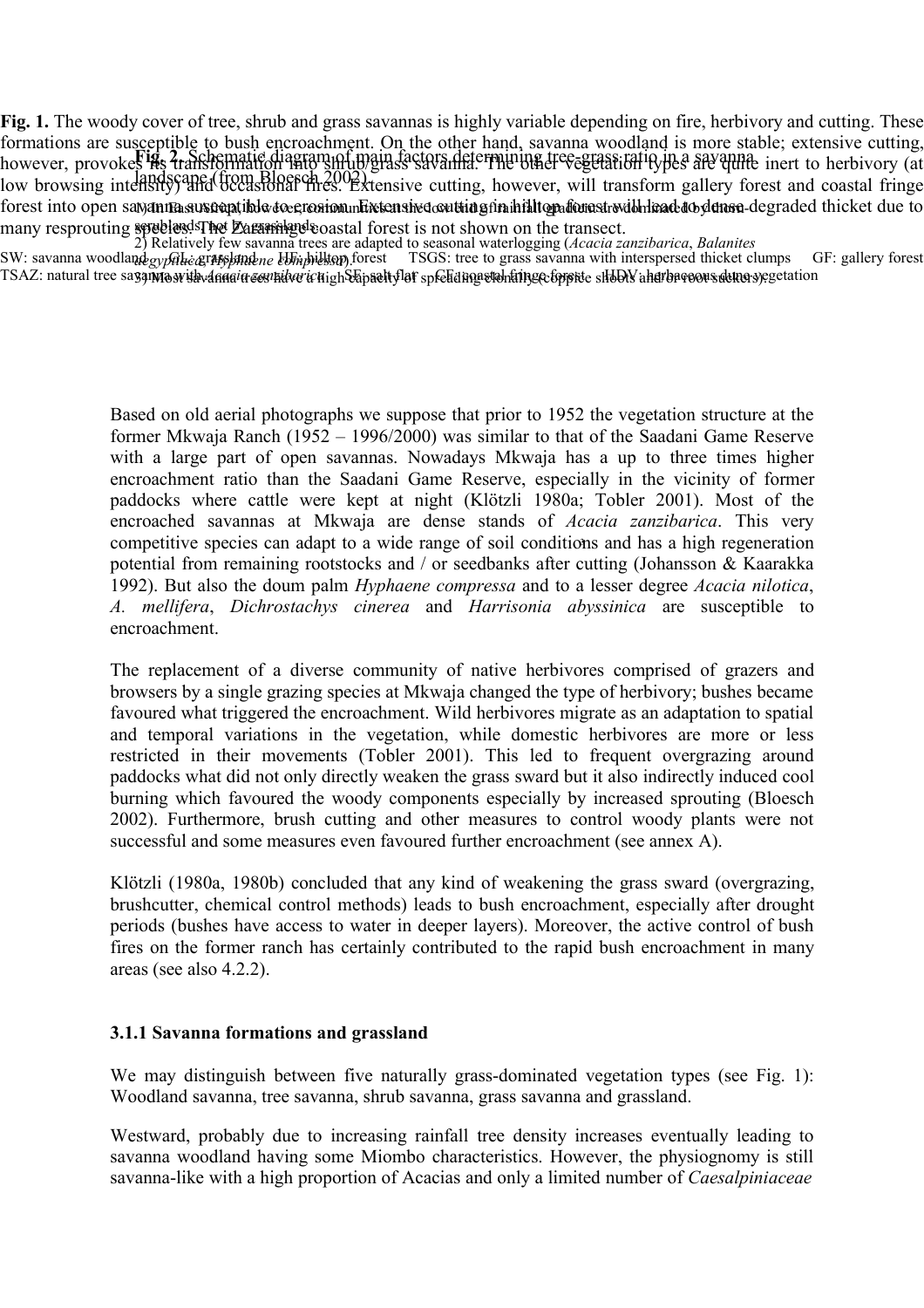**Fig. 1.** The woody cover of tree, shrub and grass savannas is highly variable depending on fire, herbivory and cutting. These formations are susceptible to bush encroachment. On the other hand, savanna woodland is more stable; extensive cutting, Fig. 2. Schematic diagram of main factors determining tree-grass ratio in a savannel, *showever*, *provokes* its transformation in a savanna context. low browsing intensity) and the and occurrence of the content of the cutting, however, will transform gallery forest and coastal fringe forest into open satyanna susteeptible to ecrosiom mEixtensived coutting fin hilltografionest with head to demone degraded thicket due to many resprouting species. The Zaraning coastal forest is not shown on the transect. scrublands, not by grasslands.

2) Relatively few savanna trees are adapted to seasonal waterlogging (*Acacia zanzibarica*, *Balanites*

SW: savanna woodland gypthic grassland ne Umbildtop forest TSGS: tree to grass savanna with interspersed thicket clumps GF: gallery forest TSAZ: natural tree sayamayrithvanquin cermidar ichighSapaditylaf spfelidingstahlingecforpite shbbly ahurbacoousduna yegetation *aegyptiaca*, *Hyphaene compressa*).

> Based on old aerial photographs we suppose that prior to 1952 the vegetation structure at the former Mkwaja Ranch (1952 – 1996/2000) was similar to that of the Saadani Game Reserve with a large part of open savannas. Nowadays Mkwaja has a up to three times higher encroachment ratio than the Saadani Game Reserve, especially in the vicinity of former paddocks where cattle were kept at night (Klötzli 1980a; Tobler 2001). Most of the encroached savannas at Mkwaja are dense stands of *Acacia zanzibarica*. This very competitive species can adapt to a wide range of soil conditions and has a high regeneration 3potential from remaining rootstocks and / or seedbanks after cutting (Johansson & Kaarakka 1992). But also the doum palm *Hyphaene compressa* and to a lesser degree *Acacia nilotica*, *A. mellifera*, *Dichrostachys cinerea* and *Harrisonia abyssinica* are susceptible to encroachment.

> The replacement of a diverse community of native herbivores comprised of grazers and browsers by a single grazing species at Mkwaja changed the type of herbivory; bushes became favoured what triggered the encroachment. Wild herbivores migrate as an adaptation to spatial and temporal variations in the vegetation, while domestic herbivores are more or less restricted in their movements (Tobler 2001). This led to frequent overgrazing around paddocks what did not only directly weaken the grass sward but it also indirectly induced cool burning which favoured the woody components especially by increased sprouting (Bloesch 2002). Furthermore, brush cutting and other measures to control woody plants were not successful and some measures even favoured further encroachment (see annex A).

> Klötzli (1980a, 1980b) concluded that any kind of weakening the grass sward (overgrazing, brushcutter, chemical control methods) leads to bush encroachment, especially after drought periods (bushes have access to water in deeper layers). Moreover, the active control of bush fires on the former ranch has certainly contributed to the rapid bush encroachment in many areas (see also 4.2.2).

#### **3.1.1 Savanna formations and grassland**

We may distinguish between five naturally grass-dominated vegetation types (see Fig. 1): Woodland savanna, tree savanna, shrub savanna, grass savanna and grassland.

Westward, probably due to increasing rainfall tree density increases eventually leading to savanna woodland having some Miombo characteristics. However, the physiognomy is still savanna-like with a high proportion of Acacias and only a limited number of *Caesalpiniaceae*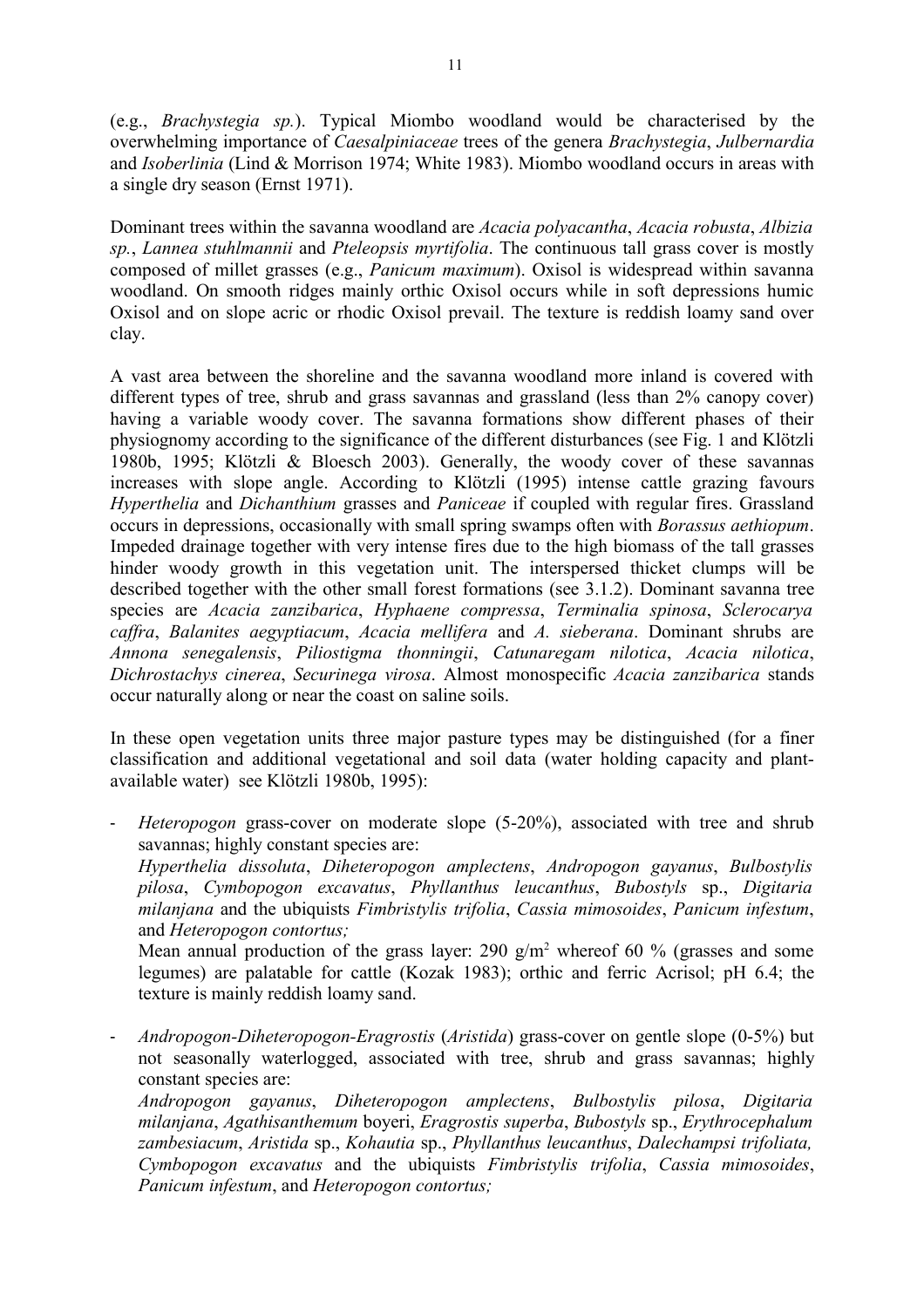(e.g., *Brachystegia sp.*). Typical Miombo woodland would be characterised by the overwhelming importance of *Caesalpiniaceae* trees of the genera *Brachystegia*, *Julbernardia* and *Isoberlinia* (Lind & Morrison 1974; White 1983). Miombo woodland occurs in areas with a single dry season (Ernst 1971).

Dominant trees within the savanna woodland are *Acacia polyacantha*, *Acacia robusta*, *Albizia sp.*, *Lannea stuhlmannii* and *Pteleopsis myrtifolia*. The continuous tall grass cover is mostly composed of millet grasses (e.g., *Panicum maximum*). Oxisol is widespread within savanna woodland. On smooth ridges mainly orthic Oxisol occurs while in soft depressions humic Oxisol and on slope acric or rhodic Oxisol prevail. The texture is reddish loamy sand over clay.

A vast area between the shoreline and the savanna woodland more inland is covered with different types of tree, shrub and grass savannas and grassland (less than 2% canopy cover) having a variable woody cover. The savanna formations show different phases of their physiognomy according to the significance of the different disturbances (see Fig. 1 and Klötzli 1980b, 1995; Klötzli & Bloesch 2003). Generally, the woody cover of these savannas increases with slope angle. According to Klötzli (1995) intense cattle grazing favours *Hyperthelia* and *Dichanthium* grasses and *Paniceae* if coupled with regular fires. Grassland occurs in depressions, occasionally with small spring swamps often with *Borassus aethiopum*. Impeded drainage together with very intense fires due to the high biomass of the tall grasses hinder woody growth in this vegetation unit. The interspersed thicket clumps will be described together with the other small forest formations (see 3.1.2). Dominant savanna tree species are *Acacia zanzibarica*, *Hyphaene compressa*, *Terminalia spinosa*, *Sclerocarya caffra*, *Balanites aegyptiacum*, *Acacia mellifera* and *A. sieberana*. Dominant shrubs are *Annona senegalensis*, *Piliostigma thonningii*, *Catunaregam nilotica*, *Acacia nilotica*, *Dichrostachys cinerea*, *Securinega virosa*. Almost monospecific *Acacia zanzibarica* stands occur naturally along or near the coast on saline soils.

In these open vegetation units three major pasture types may be distinguished (for a finer classification and additional vegetational and soil data (water holding capacity and plantavailable water) see Klötzli 1980b, 1995):

- *Heteropogon* grass-cover on moderate slope (5-20%), associated with tree and shrub savannas; highly constant species are: *Hyperthelia dissoluta*, *Diheteropogon amplectens*, *Andropogon gayanus*, *Bulbostylis pilosa*, *Cymbopogon excavatus*, *Phyllanthus leucanthus*, *Bubostyls* sp., *Digitaria milanjana* and the ubiquists *Fimbristylis trifolia*, *Cassia mimosoides*, *Panicum infestum*, and *Heteropogon contortus;*  Mean annual production of the grass layer: 290  $g/m^2$  whereof 60 % (grasses and some legumes) are palatable for cattle (Kozak 1983); orthic and ferric Acrisol; pH 6.4; the texture is mainly reddish loamy sand.
- *Andropogon-Diheteropogon-Eragrostis* (*Aristida*) grass-cover on gentle slope (0-5%) but not seasonally waterlogged, associated with tree, shrub and grass savannas; highly constant species are:

*Andropogon gayanus*, *Diheteropogon amplectens*, *Bulbostylis pilosa*, *Digitaria milanjana*, *Agathisanthemum* boyeri, *Eragrostis superba*, *Bubostyls* sp., *Erythrocephalum zambesiacum*, *Aristida* sp., *Kohautia* sp., *Phyllanthus leucanthus*, *Dalechampsi trifoliata, Cymbopogon excavatus* and the ubiquists *Fimbristylis trifolia*, *Cassia mimosoides*, *Panicum infestum*, and *Heteropogon contortus;*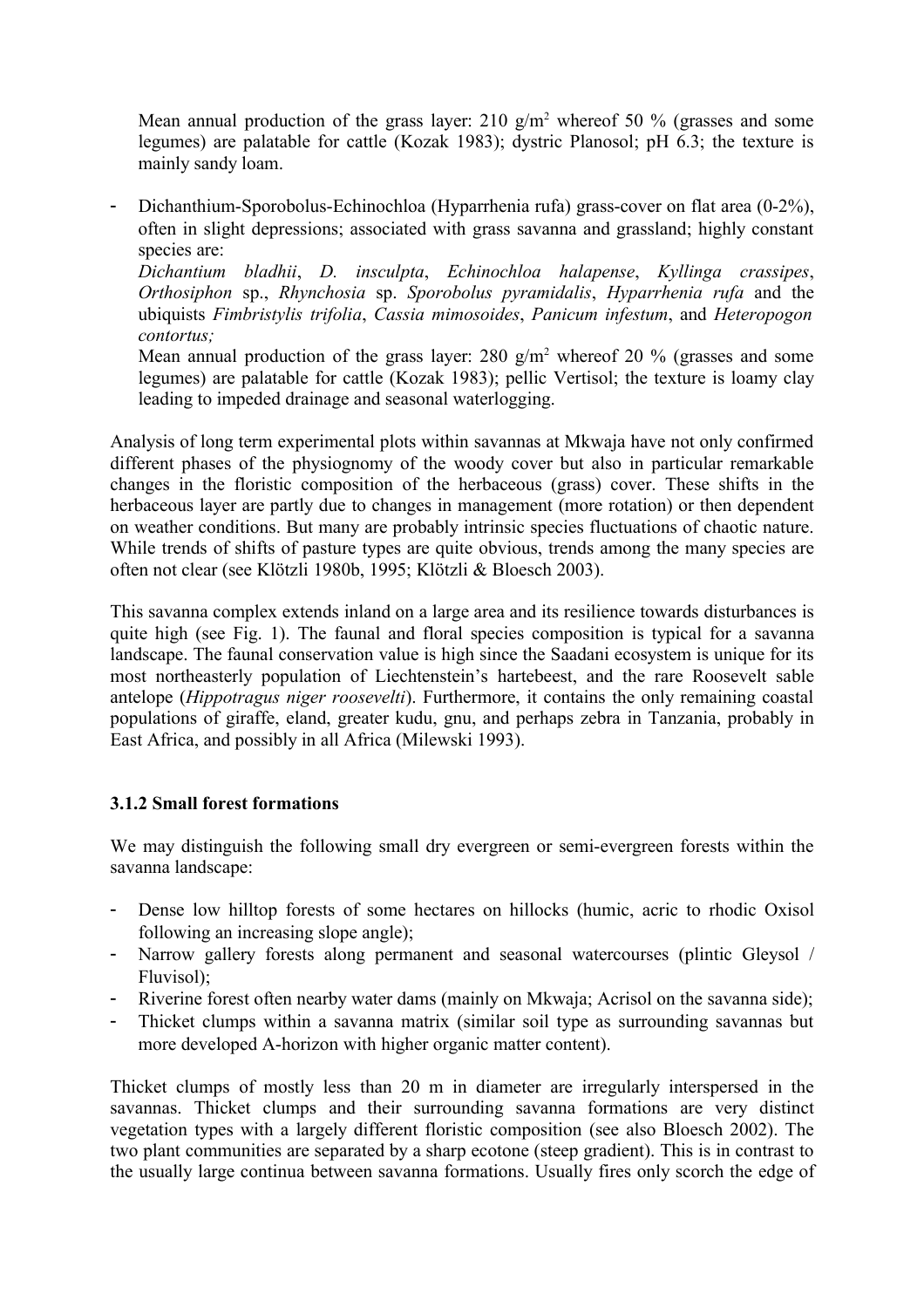Mean annual production of the grass layer: 210  $g/m^2$  whereof 50 % (grasses and some legumes) are palatable for cattle (Kozak 1983); dystric Planosol; pH 6.3; the texture is mainly sandy loam.

- Dichanthium-Sporobolus-Echinochloa (Hyparrhenia rufa) grass-cover on flat area (0-2%), often in slight depressions; associated with grass savanna and grassland; highly constant species are:

*Dichantium bladhii*, *D. insculpta*, *Echinochloa halapense*, *Kyllinga crassipes*, *Orthosiphon* sp., *Rhynchosia* sp. *Sporobolus pyramidalis*, *Hyparrhenia rufa* and the ubiquists *Fimbristylis trifolia*, *Cassia mimosoides*, *Panicum infestum*, and *Heteropogon contortus;*

Mean annual production of the grass layer: 280  $g/m^2$  whereof 20 % (grasses and some legumes) are palatable for cattle (Kozak 1983); pellic Vertisol; the texture is loamy clay leading to impeded drainage and seasonal waterlogging.

Analysis of long term experimental plots within savannas at Mkwaja have not only confirmed different phases of the physiognomy of the woody cover but also in particular remarkable changes in the floristic composition of the herbaceous (grass) cover. These shifts in the herbaceous layer are partly due to changes in management (more rotation) or then dependent on weather conditions. But many are probably intrinsic species fluctuations of chaotic nature. While trends of shifts of pasture types are quite obvious, trends among the many species are often not clear (see Klötzli 1980b, 1995; Klötzli & Bloesch 2003).

This savanna complex extends inland on a large area and its resilience towards disturbances is quite high (see Fig. 1). The faunal and floral species composition is typical for a savanna landscape. The faunal conservation value is high since the Saadani ecosystem is unique for its most northeasterly population of Liechtenstein's hartebeest, and the rare Roosevelt sable antelope (*Hippotragus niger roosevelti*). Furthermore, it contains the only remaining coastal populations of giraffe, eland, greater kudu, gnu, and perhaps zebra in Tanzania, probably in East Africa, and possibly in all Africa (Milewski 1993).

## **3.1.2 Small forest formations**

We may distinguish the following small dry evergreen or semi-evergreen forests within the savanna landscape:

- Dense low hilltop forests of some hectares on hillocks (humic, acric to rhodic Oxisol following an increasing slope angle);
- Narrow gallery forests along permanent and seasonal watercourses (plintic Gleysol / Fluvisol);
- Riverine forest often nearby water dams (mainly on Mkwaja; Acrisol on the savanna side);
- Thicket clumps within a savanna matrix (similar soil type as surrounding savannas but more developed A-horizon with higher organic matter content).

Thicket clumps of mostly less than 20 m in diameter are irregularly interspersed in the savannas. Thicket clumps and their surrounding savanna formations are very distinct vegetation types with a largely different floristic composition (see also Bloesch 2002). The two plant communities are separated by a sharp ecotone (steep gradient). This is in contrast to the usually large continua between savanna formations. Usually fires only scorch the edge of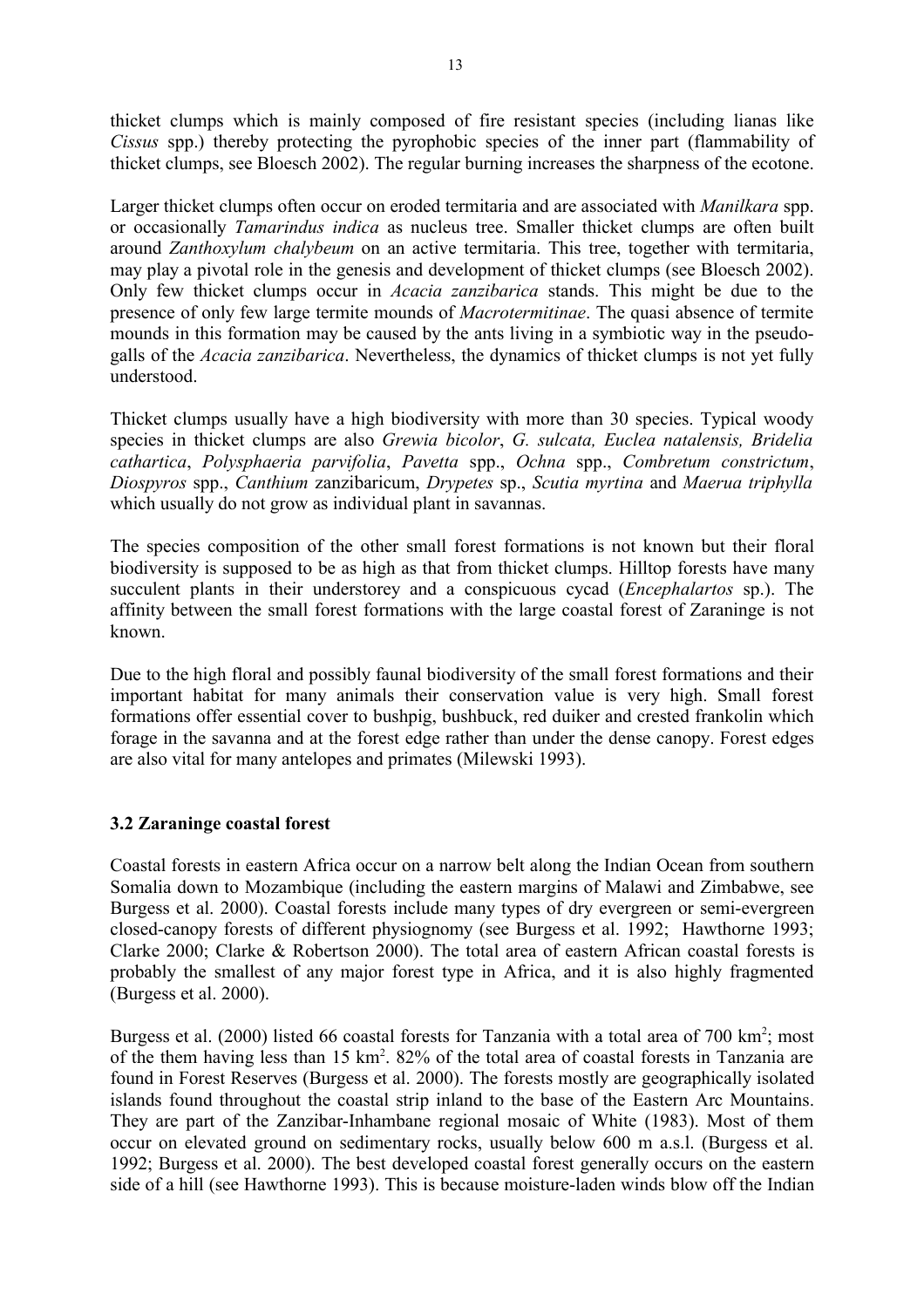thicket clumps which is mainly composed of fire resistant species (including lianas like *Cissus* spp.) thereby protecting the pyrophobic species of the inner part (flammability of thicket clumps, see Bloesch 2002). The regular burning increases the sharpness of the ecotone.

Larger thicket clumps often occur on eroded termitaria and are associated with *Manilkara* spp. or occasionally *Tamarindus indica* as nucleus tree. Smaller thicket clumps are often built around *Zanthoxylum chalybeum* on an active termitaria. This tree, together with termitaria, may play a pivotal role in the genesis and development of thicket clumps (see Bloesch 2002). Only few thicket clumps occur in *Acacia zanzibarica* stands. This might be due to the presence of only few large termite mounds of *Macrotermitinae*. The quasi absence of termite mounds in this formation may be caused by the ants living in a symbiotic way in the pseudogalls of the *Acacia zanzibarica*. Nevertheless, the dynamics of thicket clumps is not yet fully understood.

Thicket clumps usually have a high biodiversity with more than 30 species. Typical woody species in thicket clumps are also *Grewia bicolor*, *G. sulcata, Euclea natalensis, Bridelia cathartica*, *Polysphaeria parvifolia*, *Pavetta* spp., *Ochna* spp., *Combretum constrictum*, *Diospyros* spp., *Canthium* zanzibaricum, *Drypetes* sp., *Scutia myrtina* and *Maerua triphylla* which usually do not grow as individual plant in savannas.

The species composition of the other small forest formations is not known but their floral biodiversity is supposed to be as high as that from thicket clumps. Hilltop forests have many succulent plants in their understorey and a conspicuous cycad (*Encephalartos* sp.). The affinity between the small forest formations with the large coastal forest of Zaraninge is not known.

Due to the high floral and possibly faunal biodiversity of the small forest formations and their important habitat for many animals their conservation value is very high. Small forest formations offer essential cover to bushpig, bushbuck, red duiker and crested frankolin which forage in the savanna and at the forest edge rather than under the dense canopy. Forest edges are also vital for many antelopes and primates (Milewski 1993).

## **3.2 Zaraninge coastal forest**

Coastal forests in eastern Africa occur on a narrow belt along the Indian Ocean from southern Somalia down to Mozambique (including the eastern margins of Malawi and Zimbabwe, see Burgess et al. 2000). Coastal forests include many types of dry evergreen or semi-evergreen closed-canopy forests of different physiognomy (see Burgess et al. 1992; Hawthorne 1993; Clarke 2000; Clarke & Robertson 2000). The total area of eastern African coastal forests is probably the smallest of any major forest type in Africa, and it is also highly fragmented (Burgess et al. 2000).

Burgess et al. (2000) listed 66 coastal forests for Tanzania with a total area of 700 km<sup>2</sup>; most of the them having less than 15 km<sup>2</sup>. 82% of the total area of coastal forests in Tanzania are found in Forest Reserves (Burgess et al. 2000). The forests mostly are geographically isolated islands found throughout the coastal strip inland to the base of the Eastern Arc Mountains. They are part of the Zanzibar-Inhambane regional mosaic of White (1983). Most of them occur on elevated ground on sedimentary rocks, usually below 600 m a.s.l. (Burgess et al. 1992; Burgess et al. 2000). The best developed coastal forest generally occurs on the eastern side of a hill (see Hawthorne 1993). This is because moisture-laden winds blow off the Indian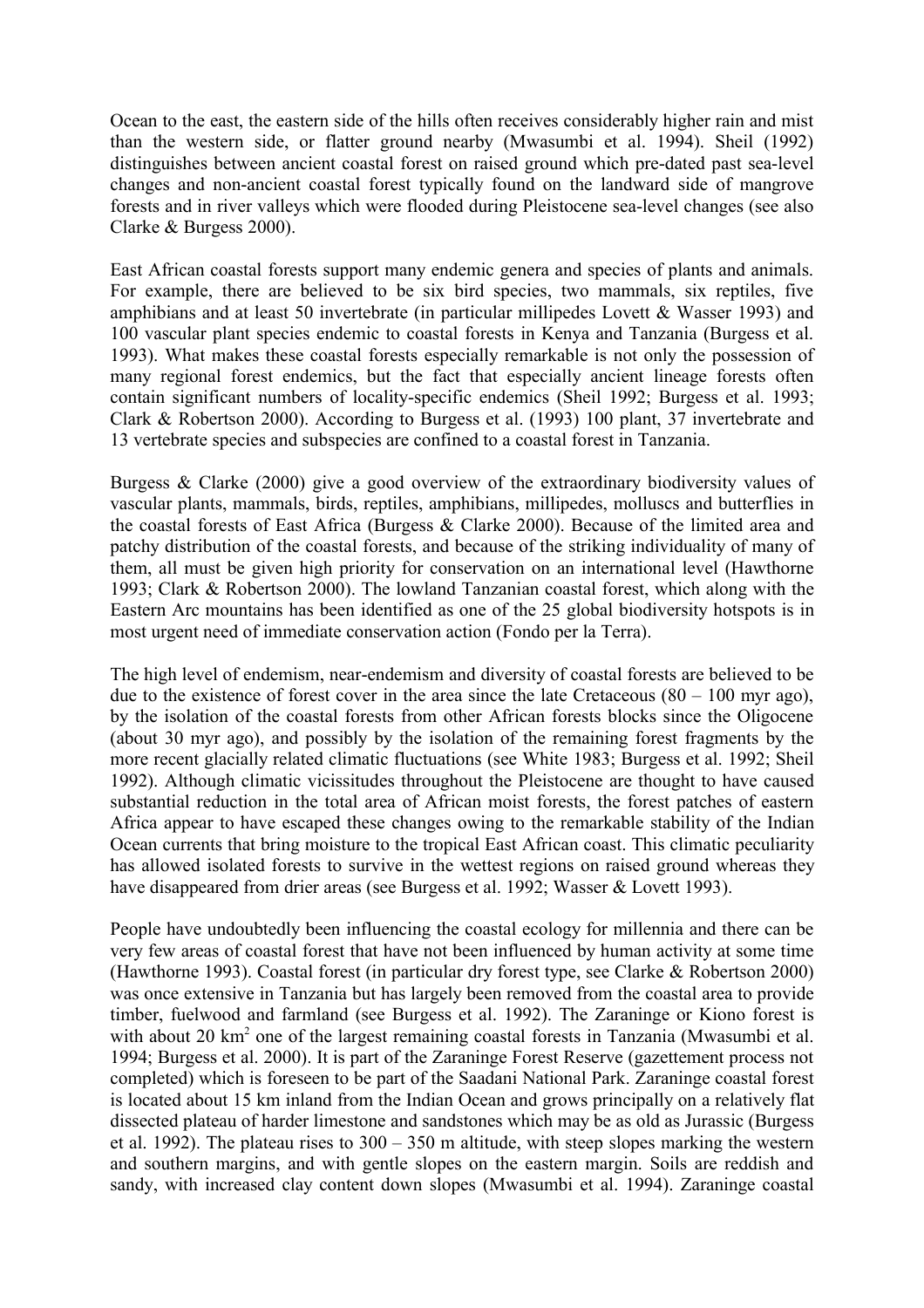Ocean to the east, the eastern side of the hills often receives considerably higher rain and mist than the western side, or flatter ground nearby (Mwasumbi et al. 1994). Sheil (1992) distinguishes between ancient coastal forest on raised ground which pre-dated past sea-level changes and non-ancient coastal forest typically found on the landward side of mangrove forests and in river valleys which were flooded during Pleistocene sea-level changes (see also Clarke & Burgess 2000).

East African coastal forests support many endemic genera and species of plants and animals. For example, there are believed to be six bird species, two mammals, six reptiles, five amphibians and at least 50 invertebrate (in particular millipedes Lovett & Wasser 1993) and 100 vascular plant species endemic to coastal forests in Kenya and Tanzania (Burgess et al. 1993). What makes these coastal forests especially remarkable is not only the possession of many regional forest endemics, but the fact that especially ancient lineage forests often contain significant numbers of locality-specific endemics (Sheil 1992; Burgess et al. 1993; Clark & Robertson 2000). According to Burgess et al. (1993) 100 plant, 37 invertebrate and 13 vertebrate species and subspecies are confined to a coastal forest in Tanzania.

Burgess & Clarke (2000) give a good overview of the extraordinary biodiversity values of vascular plants, mammals, birds, reptiles, amphibians, millipedes, molluscs and butterflies in the coastal forests of East Africa (Burgess & Clarke 2000). Because of the limited area and patchy distribution of the coastal forests, and because of the striking individuality of many of them, all must be given high priority for conservation on an international level (Hawthorne 1993; Clark & Robertson 2000). The lowland Tanzanian coastal forest, which along with the Eastern Arc mountains has been identified as one of the 25 global biodiversity hotspots is in most urgent need of immediate conservation action (Fondo per la Terra).

The high level of endemism, near-endemism and diversity of coastal forests are believed to be due to the existence of forest cover in the area since the late Cretaceous  $(80 - 100$  myr ago), by the isolation of the coastal forests from other African forests blocks since the Oligocene (about 30 myr ago), and possibly by the isolation of the remaining forest fragments by the more recent glacially related climatic fluctuations (see White 1983; Burgess et al. 1992; Sheil 1992). Although climatic vicissitudes throughout the Pleistocene are thought to have caused substantial reduction in the total area of African moist forests, the forest patches of eastern Africa appear to have escaped these changes owing to the remarkable stability of the Indian Ocean currents that bring moisture to the tropical East African coast. This climatic peculiarity has allowed isolated forests to survive in the wettest regions on raised ground whereas they have disappeared from drier areas (see Burgess et al. 1992; Wasser & Lovett 1993).

People have undoubtedly been influencing the coastal ecology for millennia and there can be very few areas of coastal forest that have not been influenced by human activity at some time (Hawthorne 1993). Coastal forest (in particular dry forest type, see Clarke & Robertson 2000) was once extensive in Tanzania but has largely been removed from the coastal area to provide timber, fuelwood and farmland (see Burgess et al. 1992). The Zaraninge or Kiono forest is with about 20 km<sup>2</sup> one of the largest remaining coastal forests in Tanzania (Mwasumbi et al. 1994; Burgess et al. 2000). It is part of the Zaraninge Forest Reserve (gazettement process not completed) which is foreseen to be part of the Saadani National Park. Zaraninge coastal forest is located about 15 km inland from the Indian Ocean and grows principally on a relatively flat dissected plateau of harder limestone and sandstones which may be as old as Jurassic (Burgess et al. 1992). The plateau rises to  $300 - 350$  m altitude, with steep slopes marking the western and southern margins, and with gentle slopes on the eastern margin. Soils are reddish and sandy, with increased clay content down slopes (Mwasumbi et al. 1994). Zaraninge coastal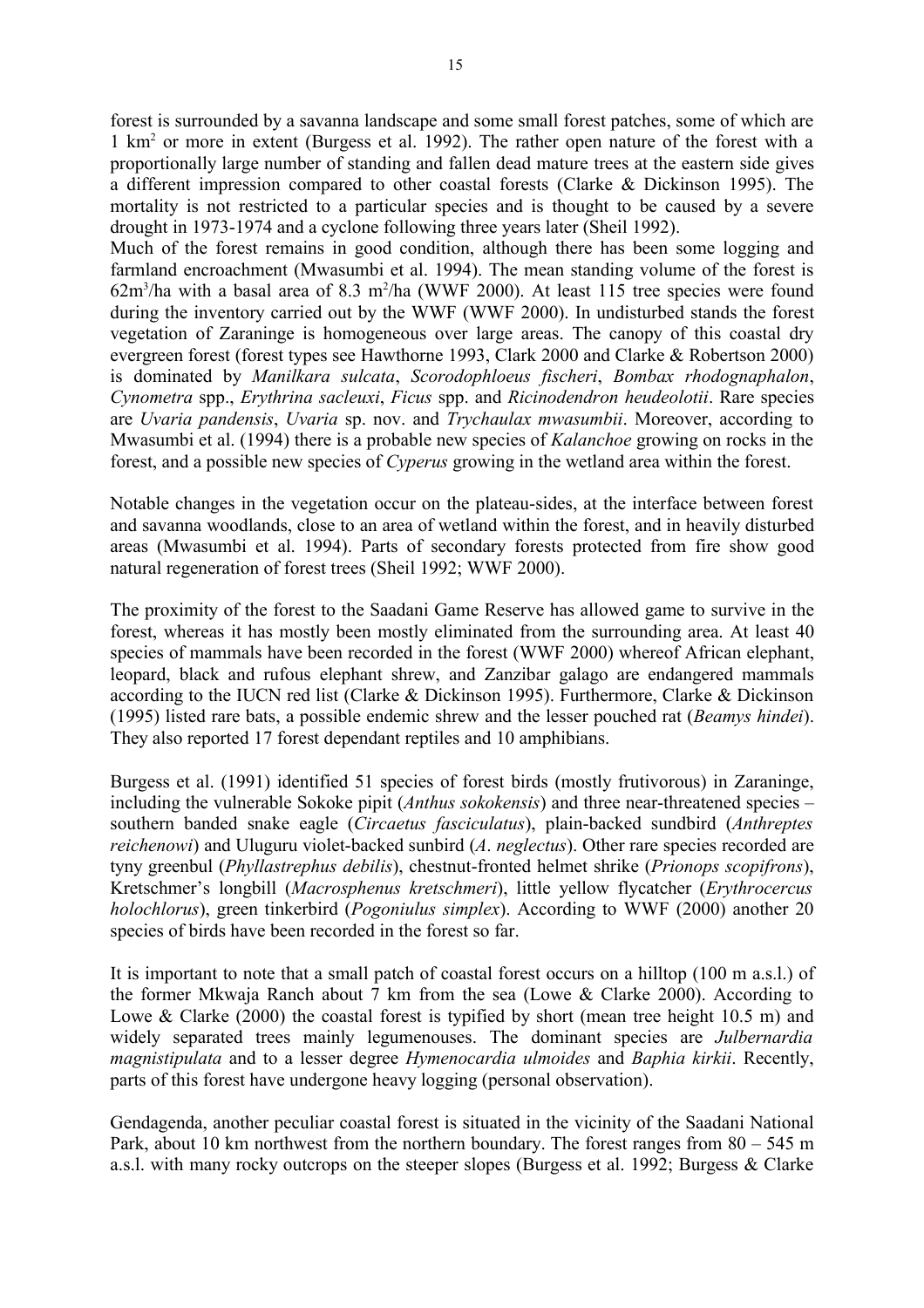forest is surrounded by a savanna landscape and some small forest patches, some of which are 1 km<sup>2</sup> or more in extent (Burgess et al. 1992). The rather open nature of the forest with a proportionally large number of standing and fallen dead mature trees at the eastern side gives a different impression compared to other coastal forests (Clarke & Dickinson 1995). The mortality is not restricted to a particular species and is thought to be caused by a severe drought in 1973-1974 and a cyclone following three years later (Sheil 1992).

Much of the forest remains in good condition, although there has been some logging and farmland encroachment (Mwasumbi et al. 1994). The mean standing volume of the forest is  $62m<sup>3</sup>/ha$  with a basal area of 8.3 m<sup>2</sup>/ha (WWF 2000). At least 115 tree species were found during the inventory carried out by the WWF (WWF 2000). In undisturbed stands the forest vegetation of Zaraninge is homogeneous over large areas. The canopy of this coastal dry evergreen forest (forest types see Hawthorne 1993, Clark 2000 and Clarke & Robertson 2000) is dominated by *Manilkara sulcata*, *Scorodophloeus fischeri*, *Bombax rhodognaphalon*, *Cynometra* spp., *Erythrina sacleuxi*, *Ficus* spp. and *Ricinodendron heudeolotii*. Rare species are *Uvaria pandensis*, *Uvaria* sp. nov. and *Trychaulax mwasumbii*. Moreover, according to Mwasumbi et al. (1994) there is a probable new species of *Kalanchoe* growing on rocks in the forest, and a possible new species of *Cyperus* growing in the wetland area within the forest.

Notable changes in the vegetation occur on the plateau-sides, at the interface between forest and savanna woodlands, close to an area of wetland within the forest, and in heavily disturbed areas (Mwasumbi et al. 1994). Parts of secondary forests protected from fire show good natural regeneration of forest trees (Sheil 1992; WWF 2000).

The proximity of the forest to the Saadani Game Reserve has allowed game to survive in the forest, whereas it has mostly been mostly eliminated from the surrounding area. At least 40 species of mammals have been recorded in the forest (WWF 2000) whereof African elephant, leopard, black and rufous elephant shrew, and Zanzibar galago are endangered mammals according to the IUCN red list (Clarke & Dickinson 1995). Furthermore, Clarke & Dickinson (1995) listed rare bats, a possible endemic shrew and the lesser pouched rat (*Beamys hindei*). They also reported 17 forest dependant reptiles and 10 amphibians.

Burgess et al. (1991) identified 51 species of forest birds (mostly frutivorous) in Zaraninge, including the vulnerable Sokoke pipit (*Anthus sokokensis*) and three near-threatened species – southern banded snake eagle (*Circaetus fasciculatus*), plain-backed sundbird (*Anthreptes reichenowi*) and Uluguru violet-backed sunbird (*A*. *neglectus*). Other rare species recorded are tyny greenbul (*Phyllastrephus debilis*), chestnut-fronted helmet shrike (*Prionops scopifrons*), Kretschmer's longbill (*Macrosphenus kretschmeri*), little yellow flycatcher (*Erythrocercus holochlorus*), green tinkerbird (*Pogoniulus simplex*). According to WWF (2000) another 20 species of birds have been recorded in the forest so far.

It is important to note that a small patch of coastal forest occurs on a hilltop (100 m a.s.l.) of the former Mkwaja Ranch about 7 km from the sea (Lowe & Clarke 2000). According to Lowe & Clarke (2000) the coastal forest is typified by short (mean tree height 10.5 m) and widely separated trees mainly legumenouses. The dominant species are *Julbernardia magnistipulata* and to a lesser degree *Hymenocardia ulmoides* and *Baphia kirkii*. Recently, parts of this forest have undergone heavy logging (personal observation).

Gendagenda, another peculiar coastal forest is situated in the vicinity of the Saadani National Park, about 10 km northwest from the northern boundary. The forest ranges from 80 – 545 m a.s.l. with many rocky outcrops on the steeper slopes (Burgess et al. 1992; Burgess & Clarke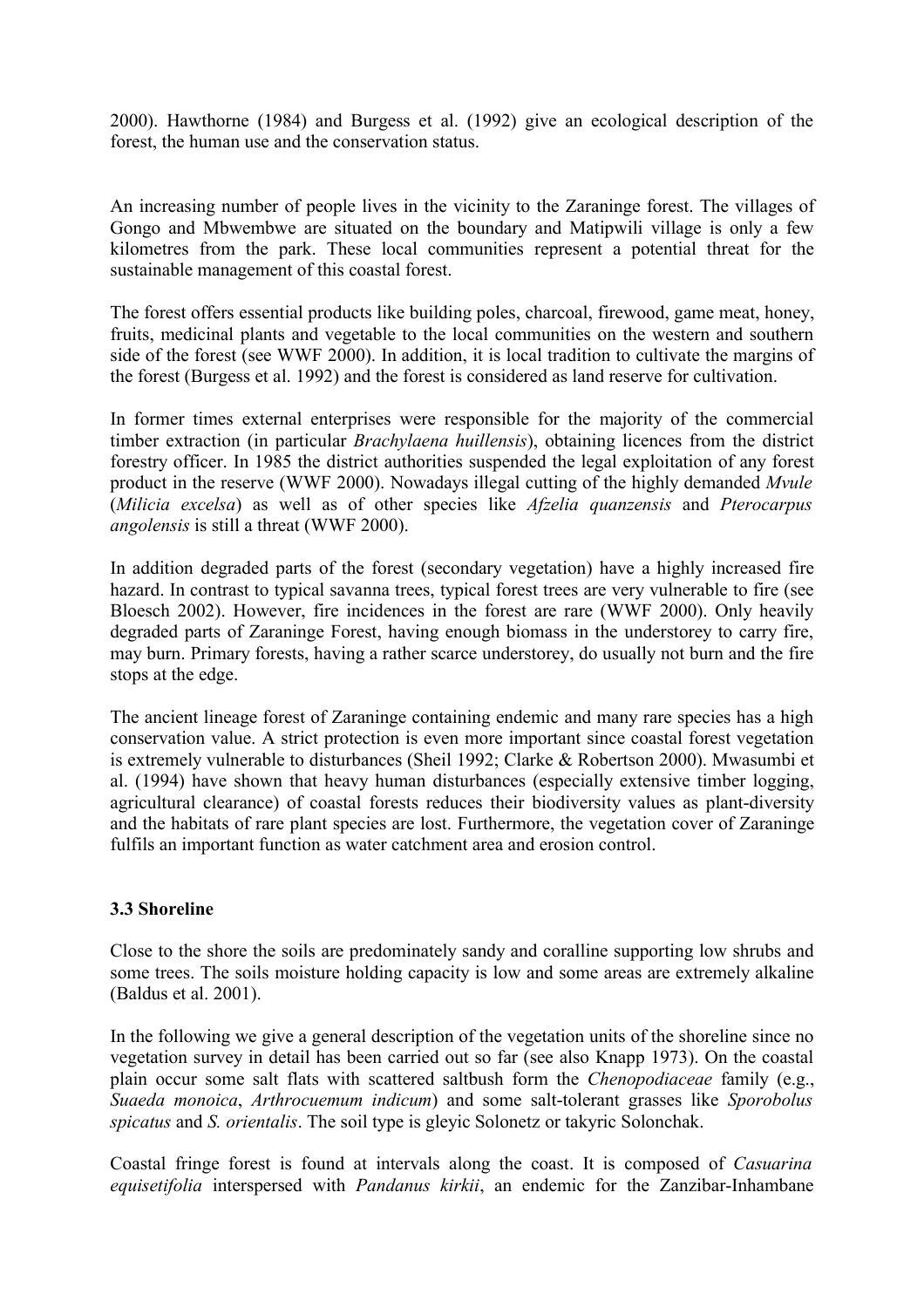2000). Hawthorne (1984) and Burgess et al. (1992) give an ecological description of the forest, the human use and the conservation status.

An increasing number of people lives in the vicinity to the Zaraninge forest. The villages of Gongo and Mbwembwe are situated on the boundary and Matipwili village is only a few kilometres from the park. These local communities represent a potential threat for the sustainable management of this coastal forest.

The forest offers essential products like building poles, charcoal, firewood, game meat, honey, fruits, medicinal plants and vegetable to the local communities on the western and southern side of the forest (see WWF 2000). In addition, it is local tradition to cultivate the margins of the forest (Burgess et al. 1992) and the forest is considered as land reserve for cultivation.

In former times external enterprises were responsible for the majority of the commercial timber extraction (in particular *Brachylaena huillensis*), obtaining licences from the district forestry officer. In 1985 the district authorities suspended the legal exploitation of any forest product in the reserve (WWF 2000). Nowadays illegal cutting of the highly demanded *Mvule* (*Milicia excelsa*) as well as of other species like *Afzelia quanzensis* and *Pterocarpus angolensis* is still a threat (WWF 2000).

In addition degraded parts of the forest (secondary vegetation) have a highly increased fire hazard. In contrast to typical savanna trees, typical forest trees are very vulnerable to fire (see Bloesch 2002). However, fire incidences in the forest are rare (WWF 2000). Only heavily degraded parts of Zaraninge Forest, having enough biomass in the understorey to carry fire, may burn. Primary forests, having a rather scarce understorey, do usually not burn and the fire stops at the edge.

The ancient lineage forest of Zaraninge containing endemic and many rare species has a high conservation value. A strict protection is even more important since coastal forest vegetation is extremely vulnerable to disturbances (Sheil 1992; Clarke & Robertson 2000). Mwasumbi et al. (1994) have shown that heavy human disturbances (especially extensive timber logging, agricultural clearance) of coastal forests reduces their biodiversity values as plant-diversity and the habitats of rare plant species are lost. Furthermore, the vegetation cover of Zaraninge fulfils an important function as water catchment area and erosion control.

## **3.3 Shoreline**

Close to the shore the soils are predominately sandy and coralline supporting low shrubs and some trees. The soils moisture holding capacity is low and some areas are extremely alkaline (Baldus et al. 2001).

In the following we give a general description of the vegetation units of the shoreline since no vegetation survey in detail has been carried out so far (see also Knapp 1973). On the coastal plain occur some salt flats with scattered saltbush form the *Chenopodiaceae* family (e.g., *Suaeda monoica*, *Arthrocuemum indicum*) and some salt-tolerant grasses like *Sporobolus spicatus* and *S. orientalis*. The soil type is gleyic Solonetz or takyric Solonchak.

Coastal fringe forest is found at intervals along the coast. It is composed of *Casuarina equisetifolia* interspersed with *Pandanus kirkii*, an endemic for the Zanzibar-Inhambane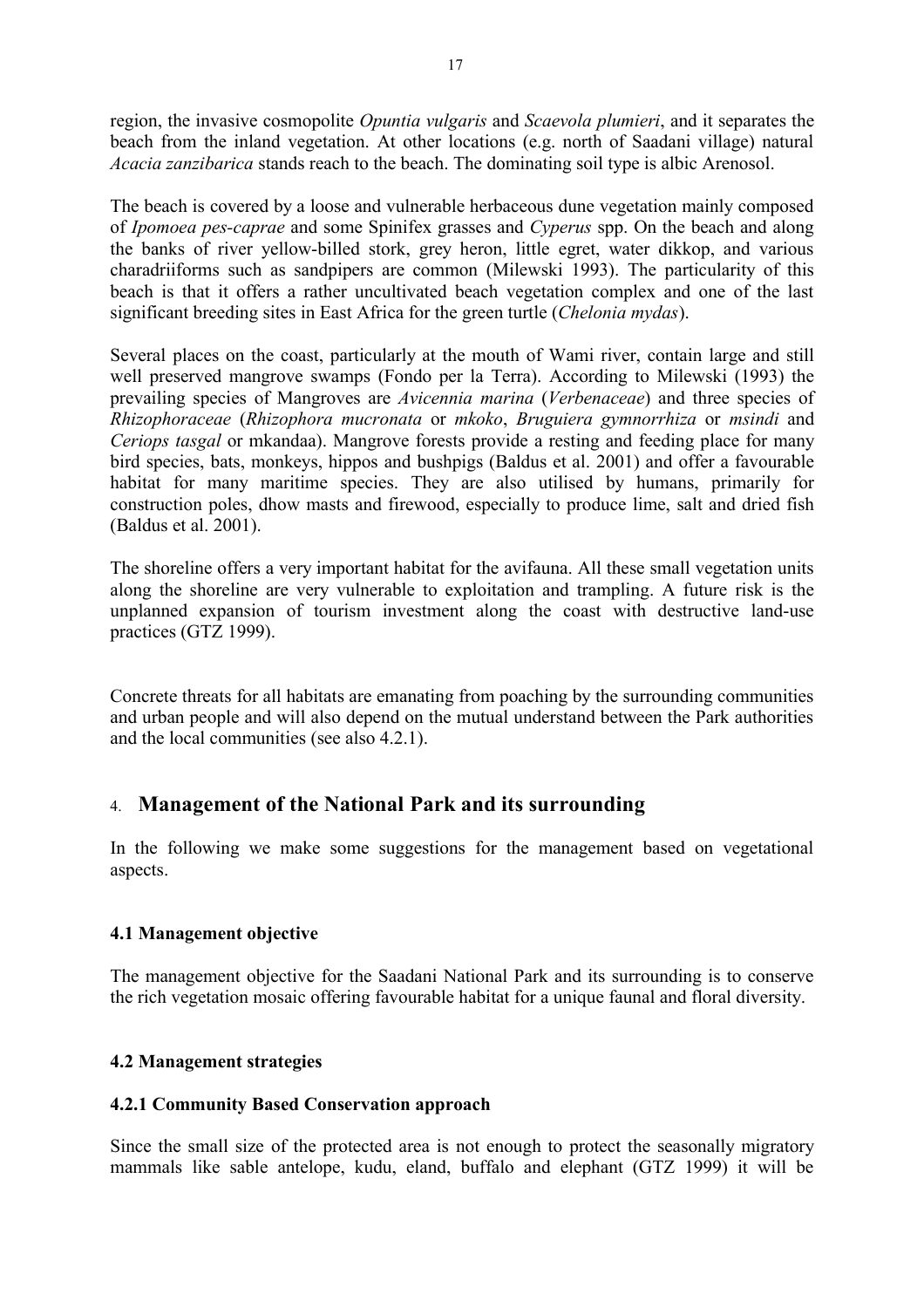region, the invasive cosmopolite *Opuntia vulgaris* and *Scaevola plumieri*, and it separates the beach from the inland vegetation. At other locations (e.g. north of Saadani village) natural *Acacia zanzibarica* stands reach to the beach. The dominating soil type is albic Arenosol.

The beach is covered by a loose and vulnerable herbaceous dune vegetation mainly composed of *Ipomoea pes-caprae* and some Spinifex grasses and *Cyperus* spp. On the beach and along the banks of river yellow-billed stork, grey heron, little egret, water dikkop, and various charadriiforms such as sandpipers are common (Milewski 1993). The particularity of this beach is that it offers a rather uncultivated beach vegetation complex and one of the last significant breeding sites in East Africa for the green turtle (*Chelonia mydas*).

Several places on the coast, particularly at the mouth of Wami river, contain large and still well preserved mangrove swamps (Fondo per la Terra). According to Milewski (1993) the prevailing species of Mangroves are *Avicennia marina* (*Verbenaceae*) and three species of *Rhizophoraceae* (*Rhizophora mucronata* or *mkoko*, *Bruguiera gymnorrhiza* or *msindi* and *Ceriops tasgal* or mkandaa). Mangrove forests provide a resting and feeding place for many bird species, bats, monkeys, hippos and bushpigs (Baldus et al. 2001) and offer a favourable habitat for many maritime species. They are also utilised by humans, primarily for construction poles, dhow masts and firewood, especially to produce lime, salt and dried fish (Baldus et al. 2001).

The shoreline offers a very important habitat for the avifauna. All these small vegetation units along the shoreline are very vulnerable to exploitation and trampling. A future risk is the unplanned expansion of tourism investment along the coast with destructive land-use practices (GTZ 1999).

Concrete threats for all habitats are emanating from poaching by the surrounding communities and urban people and will also depend on the mutual understand between the Park authorities and the local communities (see also 4.2.1).

# 4. **Management of the National Park and its surrounding**

In the following we make some suggestions for the management based on vegetational aspects.

## **4.1 Management objective**

The management objective for the Saadani National Park and its surrounding is to conserve the rich vegetation mosaic offering favourable habitat for a unique faunal and floral diversity.

## **4.2 Management strategies**

## **4.2.1 Community Based Conservation approach**

Since the small size of the protected area is not enough to protect the seasonally migratory mammals like sable antelope, kudu, eland, buffalo and elephant (GTZ 1999) it will be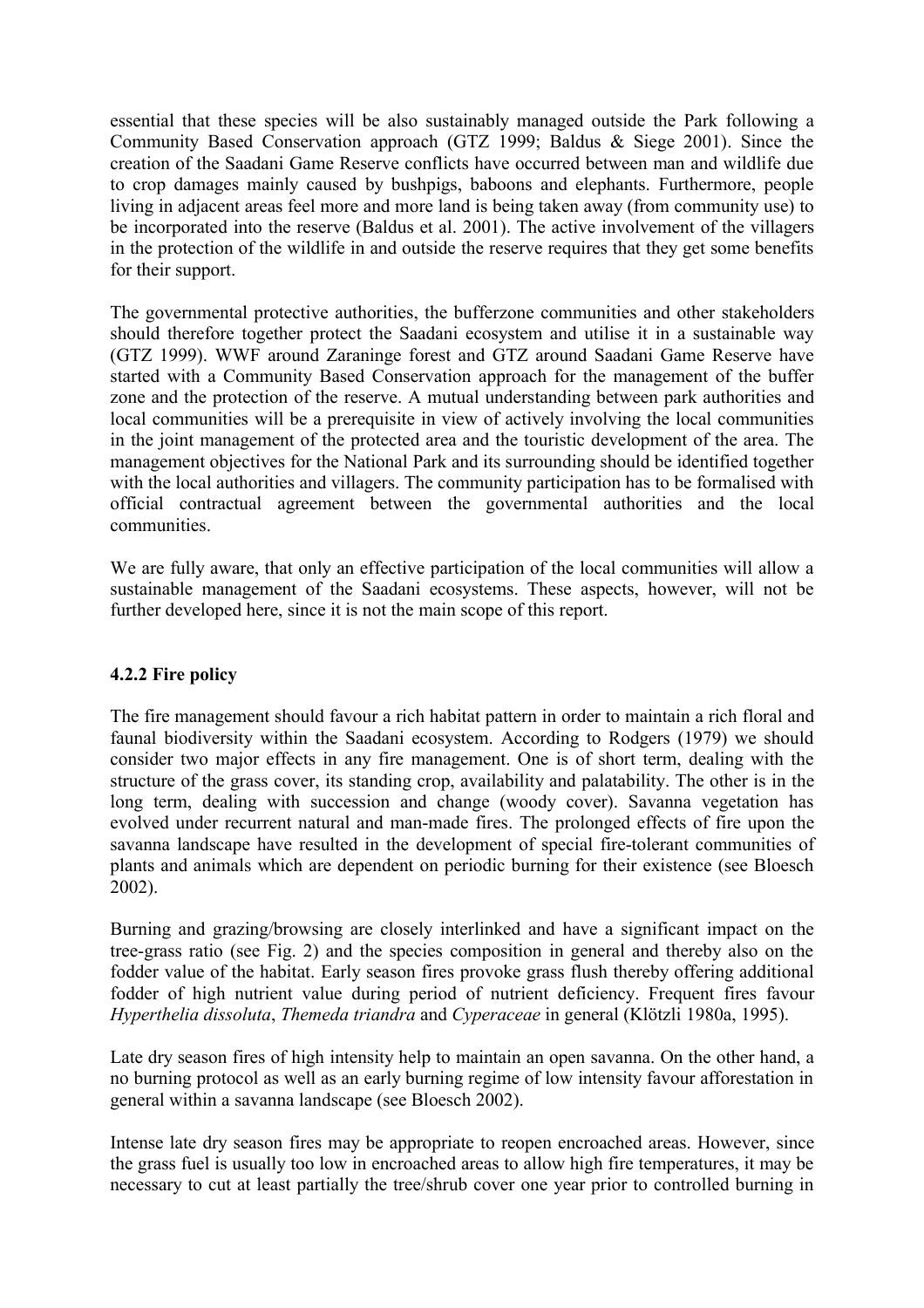essential that these species will be also sustainably managed outside the Park following a Community Based Conservation approach (GTZ 1999; Baldus & Siege 2001). Since the creation of the Saadani Game Reserve conflicts have occurred between man and wildlife due to crop damages mainly caused by bushpigs, baboons and elephants. Furthermore, people living in adjacent areas feel more and more land is being taken away (from community use) to be incorporated into the reserve (Baldus et al. 2001). The active involvement of the villagers in the protection of the wildlife in and outside the reserve requires that they get some benefits for their support.

The governmental protective authorities, the bufferzone communities and other stakeholders should therefore together protect the Saadani ecosystem and utilise it in a sustainable way (GTZ 1999). WWF around Zaraninge forest and GTZ around Saadani Game Reserve have started with a Community Based Conservation approach for the management of the buffer zone and the protection of the reserve. A mutual understanding between park authorities and local communities will be a prerequisite in view of actively involving the local communities in the joint management of the protected area and the touristic development of the area. The management objectives for the National Park and its surrounding should be identified together with the local authorities and villagers. The community participation has to be formalised with official contractual agreement between the governmental authorities and the local communities.

We are fully aware, that only an effective participation of the local communities will allow a sustainable management of the Saadani ecosystems. These aspects, however, will not be further developed here, since it is not the main scope of this report.

## **4.2.2 Fire policy**

The fire management should favour a rich habitat pattern in order to maintain a rich floral and faunal biodiversity within the Saadani ecosystem. According to Rodgers (1979) we should consider two major effects in any fire management. One is of short term, dealing with the structure of the grass cover, its standing crop, availability and palatability. The other is in the long term, dealing with succession and change (woody cover). Savanna vegetation has evolved under recurrent natural and man-made fires. The prolonged effects of fire upon the savanna landscape have resulted in the development of special fire-tolerant communities of plants and animals which are dependent on periodic burning for their existence (see Bloesch 2002).

Burning and grazing/browsing are closely interlinked and have a significant impact on the tree-grass ratio (see Fig. 2) and the species composition in general and thereby also on the fodder value of the habitat. Early season fires provoke grass flush thereby offering additional fodder of high nutrient value during period of nutrient deficiency. Frequent fires favour *Hyperthelia dissoluta*, *Themeda triandra* and *Cyperaceae* in general (Klötzli 1980a, 1995).

Late dry season fires of high intensity help to maintain an open savanna. On the other hand, a no burning protocol as well as an early burning regime of low intensity favour afforestation in general within a savanna landscape (see Bloesch 2002).

Intense late dry season fires may be appropriate to reopen encroached areas. However, since the grass fuel is usually too low in encroached areas to allow high fire temperatures, it may be necessary to cut at least partially the tree/shrub cover one year prior to controlled burning in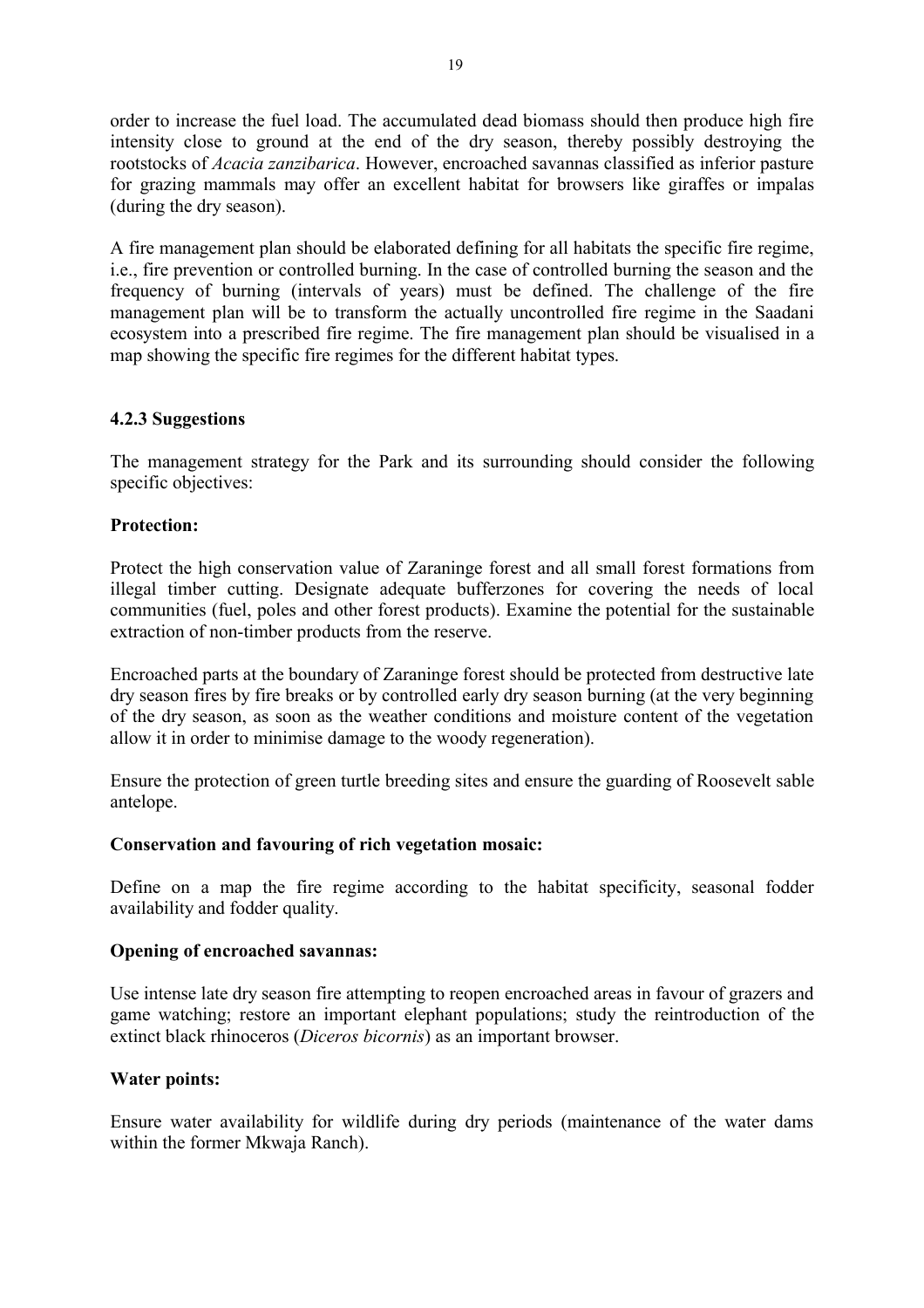order to increase the fuel load. The accumulated dead biomass should then produce high fire intensity close to ground at the end of the dry season, thereby possibly destroying the rootstocks of *Acacia zanzibarica*. However, encroached savannas classified as inferior pasture for grazing mammals may offer an excellent habitat for browsers like giraffes or impalas (during the dry season).

A fire management plan should be elaborated defining for all habitats the specific fire regime, i.e., fire prevention or controlled burning. In the case of controlled burning the season and the frequency of burning (intervals of years) must be defined. The challenge of the fire management plan will be to transform the actually uncontrolled fire regime in the Saadani ecosystem into a prescribed fire regime. The fire management plan should be visualised in a map showing the specific fire regimes for the different habitat types.

#### **4.2.3 Suggestions**

The management strategy for the Park and its surrounding should consider the following specific objectives:

## **Protection:**

Protect the high conservation value of Zaraninge forest and all small forest formations from illegal timber cutting. Designate adequate bufferzones for covering the needs of local communities (fuel, poles and other forest products). Examine the potential for the sustainable extraction of non-timber products from the reserve.

Encroached parts at the boundary of Zaraninge forest should be protected from destructive late dry season fires by fire breaks or by controlled early dry season burning (at the very beginning of the dry season, as soon as the weather conditions and moisture content of the vegetation allow it in order to minimise damage to the woody regeneration).

Ensure the protection of green turtle breeding sites and ensure the guarding of Roosevelt sable antelope.

#### **Conservation and favouring of rich vegetation mosaic:**

Define on a map the fire regime according to the habitat specificity, seasonal fodder availability and fodder quality.

#### **Opening of encroached savannas:**

Use intense late dry season fire attempting to reopen encroached areas in favour of grazers and game watching; restore an important elephant populations; study the reintroduction of the extinct black rhinoceros (*Diceros bicornis*) as an important browser.

#### **Water points:**

Ensure water availability for wildlife during dry periods (maintenance of the water dams within the former Mkwaja Ranch).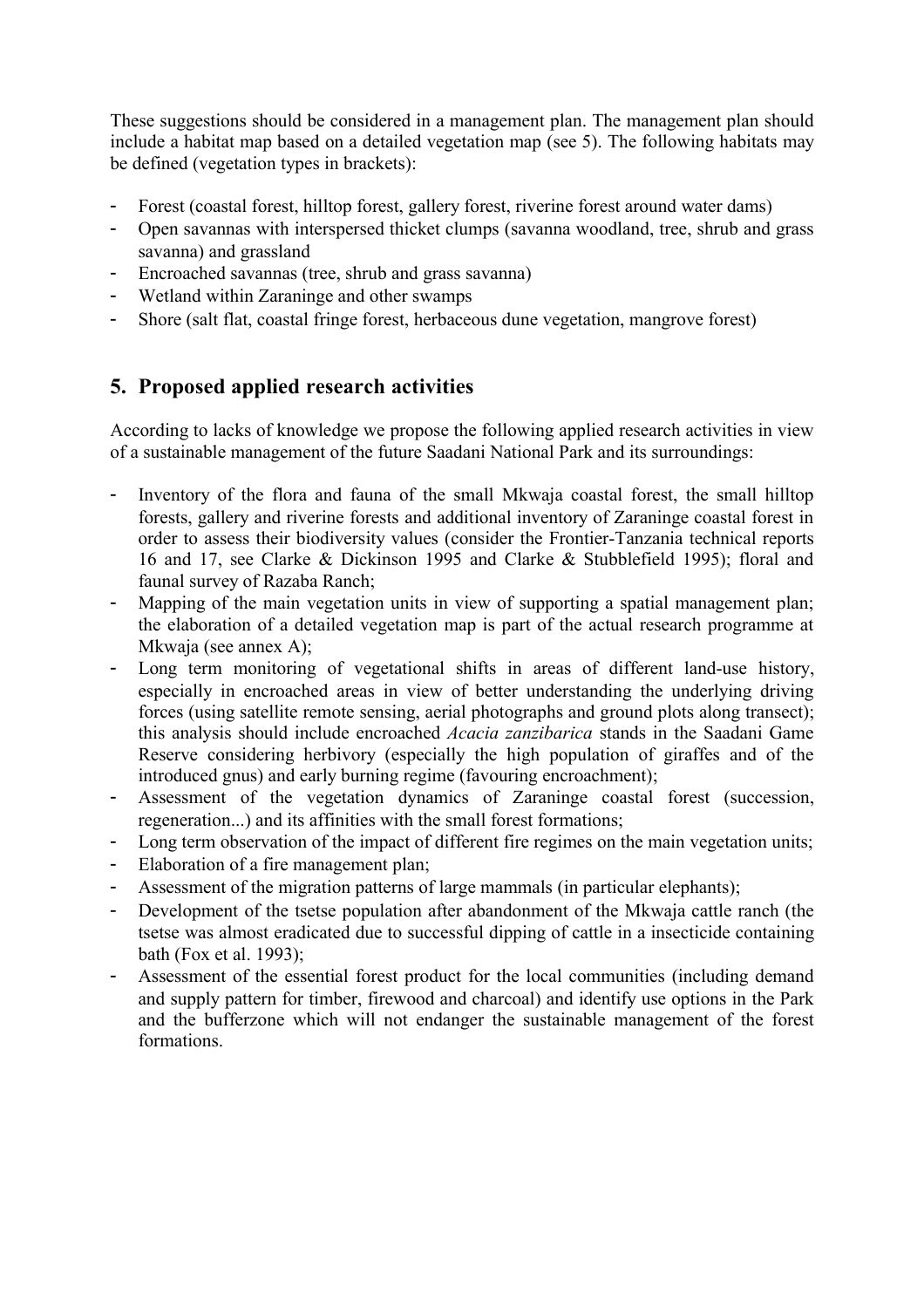These suggestions should be considered in a management plan. The management plan should include a habitat map based on a detailed vegetation map (see 5). The following habitats may be defined (vegetation types in brackets):

- Forest (coastal forest, hilltop forest, gallery forest, riverine forest around water dams)
- Open savannas with interspersed thicket clumps (savanna woodland, tree, shrub and grass savanna) and grassland
- Encroached savannas (tree, shrub and grass savanna)
- Wetland within Zaraninge and other swamps
- Shore (salt flat, coastal fringe forest, herbaceous dune vegetation, mangrove forest)

# **5. Proposed applied research activities**

According to lacks of knowledge we propose the following applied research activities in view of a sustainable management of the future Saadani National Park and its surroundings:

- Inventory of the flora and fauna of the small Mkwaja coastal forest, the small hilltop forests, gallery and riverine forests and additional inventory of Zaraninge coastal forest in order to assess their biodiversity values (consider the Frontier-Tanzania technical reports 16 and 17, see Clarke & Dickinson 1995 and Clarke & Stubblefield 1995); floral and faunal survey of Razaba Ranch;
- Mapping of the main vegetation units in view of supporting a spatial management plan; the elaboration of a detailed vegetation map is part of the actual research programme at Mkwaja (see annex A);
- Long term monitoring of vegetational shifts in areas of different land-use history, especially in encroached areas in view of better understanding the underlying driving forces (using satellite remote sensing, aerial photographs and ground plots along transect); this analysis should include encroached *Acacia zanzibarica* stands in the Saadani Game Reserve considering herbivory (especially the high population of giraffes and of the introduced gnus) and early burning regime (favouring encroachment);
- Assessment of the vegetation dynamics of Zaraninge coastal forest (succession, regeneration...) and its affinities with the small forest formations;
- Long term observation of the impact of different fire regimes on the main vegetation units;
- Elaboration of a fire management plan;
- Assessment of the migration patterns of large mammals (in particular elephants);
- Development of the tsetse population after abandonment of the Mkwaja cattle ranch (the tsetse was almost eradicated due to successful dipping of cattle in a insecticide containing bath (Fox et al. 1993);
- Assessment of the essential forest product for the local communities (including demand and supply pattern for timber, firewood and charcoal) and identify use options in the Park and the bufferzone which will not endanger the sustainable management of the forest formations.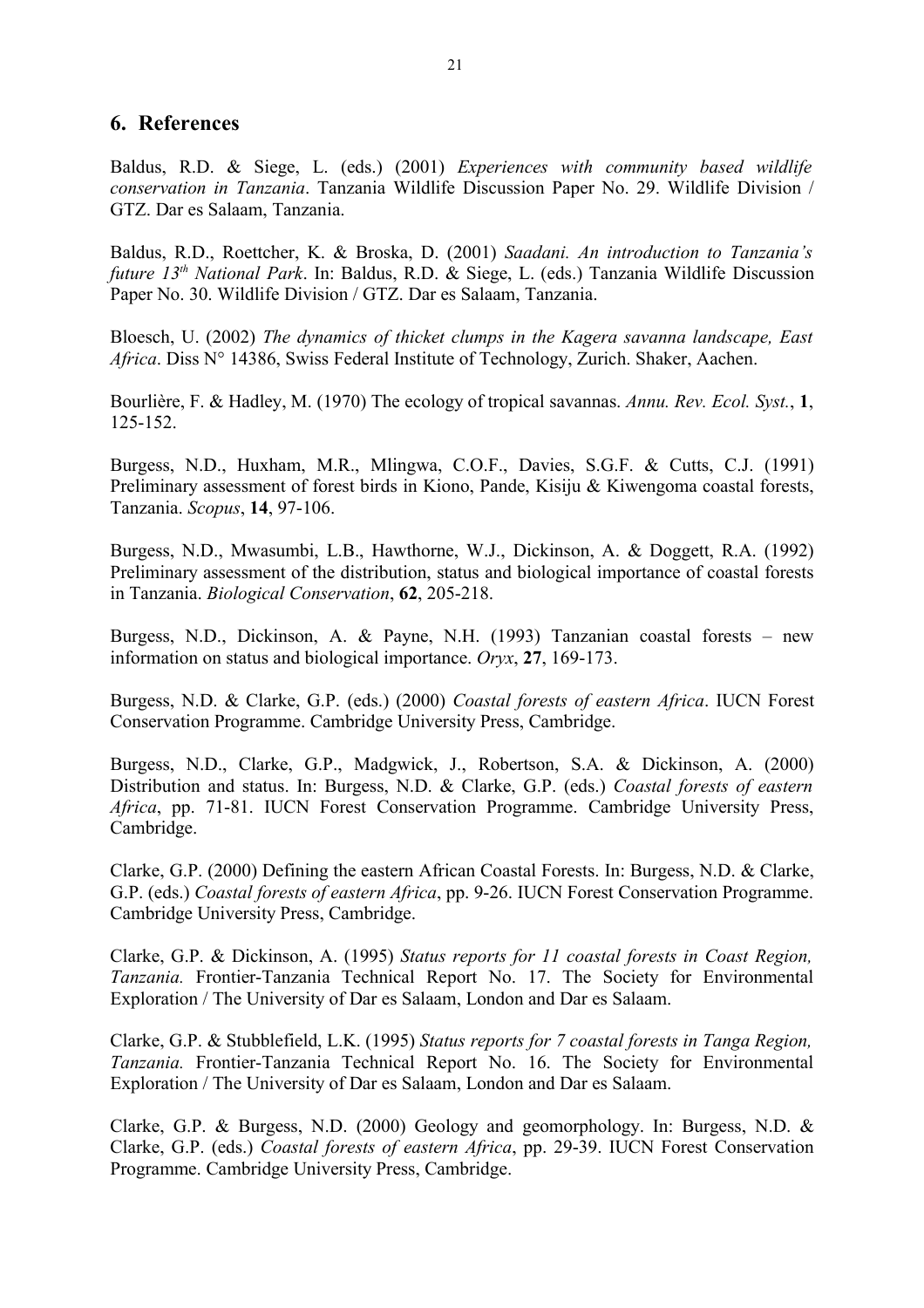#### **6. References**

Baldus, R.D. & Siege, L. (eds.) (2001) *Experiences with community based wildlife conservation in Tanzania*. Tanzania Wildlife Discussion Paper No. 29. Wildlife Division / GTZ. Dar es Salaam, Tanzania.

Baldus, R.D., Roettcher, K. & Broska, D. (2001) *Saadani. An introduction to Tanzania's future 13th National Park*. In: Baldus, R.D. & Siege, L. (eds.) Tanzania Wildlife Discussion Paper No. 30. Wildlife Division / GTZ. Dar es Salaam, Tanzania.

Bloesch, U. (2002) *The dynamics of thicket clumps in the Kagera savanna landscape, East Africa*. Diss N° 14386, Swiss Federal Institute of Technology, Zurich. Shaker, Aachen.

Bourlière, F. & Hadley, M. (1970) The ecology of tropical savannas. *Annu. Rev. Ecol. Syst.*, **1**, 125-152.

Burgess, N.D., Huxham, M.R., Mlingwa, C.O.F., Davies, S.G.F. & Cutts, C.J. (1991) Preliminary assessment of forest birds in Kiono, Pande, Kisiju & Kiwengoma coastal forests, Tanzania. *Scopus*, **14**, 97-106.

Burgess, N.D., Mwasumbi, L.B., Hawthorne, W.J., Dickinson, A. & Doggett, R.A. (1992) Preliminary assessment of the distribution, status and biological importance of coastal forests in Tanzania. *Biological Conservation*, **62**, 205-218.

Burgess, N.D., Dickinson, A. & Payne, N.H. (1993) Tanzanian coastal forests – new information on status and biological importance. *Oryx*, **27**, 169-173.

Burgess, N.D. & Clarke, G.P. (eds.) (2000) *Coastal forests of eastern Africa*. IUCN Forest Conservation Programme. Cambridge University Press, Cambridge.

Burgess, N.D., Clarke, G.P., Madgwick, J., Robertson, S.A. & Dickinson, A. (2000) Distribution and status. In: Burgess, N.D. & Clarke, G.P. (eds.) *Coastal forests of eastern Africa*, pp. 71-81. IUCN Forest Conservation Programme. Cambridge University Press, Cambridge.

Clarke, G.P. (2000) Defining the eastern African Coastal Forests. In: Burgess, N.D. & Clarke, G.P. (eds.) *Coastal forests of eastern Africa*, pp. 9-26. IUCN Forest Conservation Programme. Cambridge University Press, Cambridge.

Clarke, G.P. & Dickinson, A. (1995) *Status reports for 11 coastal forests in Coast Region, Tanzania.* Frontier-Tanzania Technical Report No. 17. The Society for Environmental Exploration / The University of Dar es Salaam, London and Dar es Salaam.

Clarke, G.P. & Stubblefield, L.K. (1995) *Status reports for 7 coastal forests in Tanga Region, Tanzania.* Frontier-Tanzania Technical Report No. 16. The Society for Environmental Exploration / The University of Dar es Salaam, London and Dar es Salaam.

Clarke, G.P. & Burgess, N.D. (2000) Geology and geomorphology. In: Burgess, N.D. & Clarke, G.P. (eds.) *Coastal forests of eastern Africa*, pp. 29-39. IUCN Forest Conservation Programme. Cambridge University Press, Cambridge.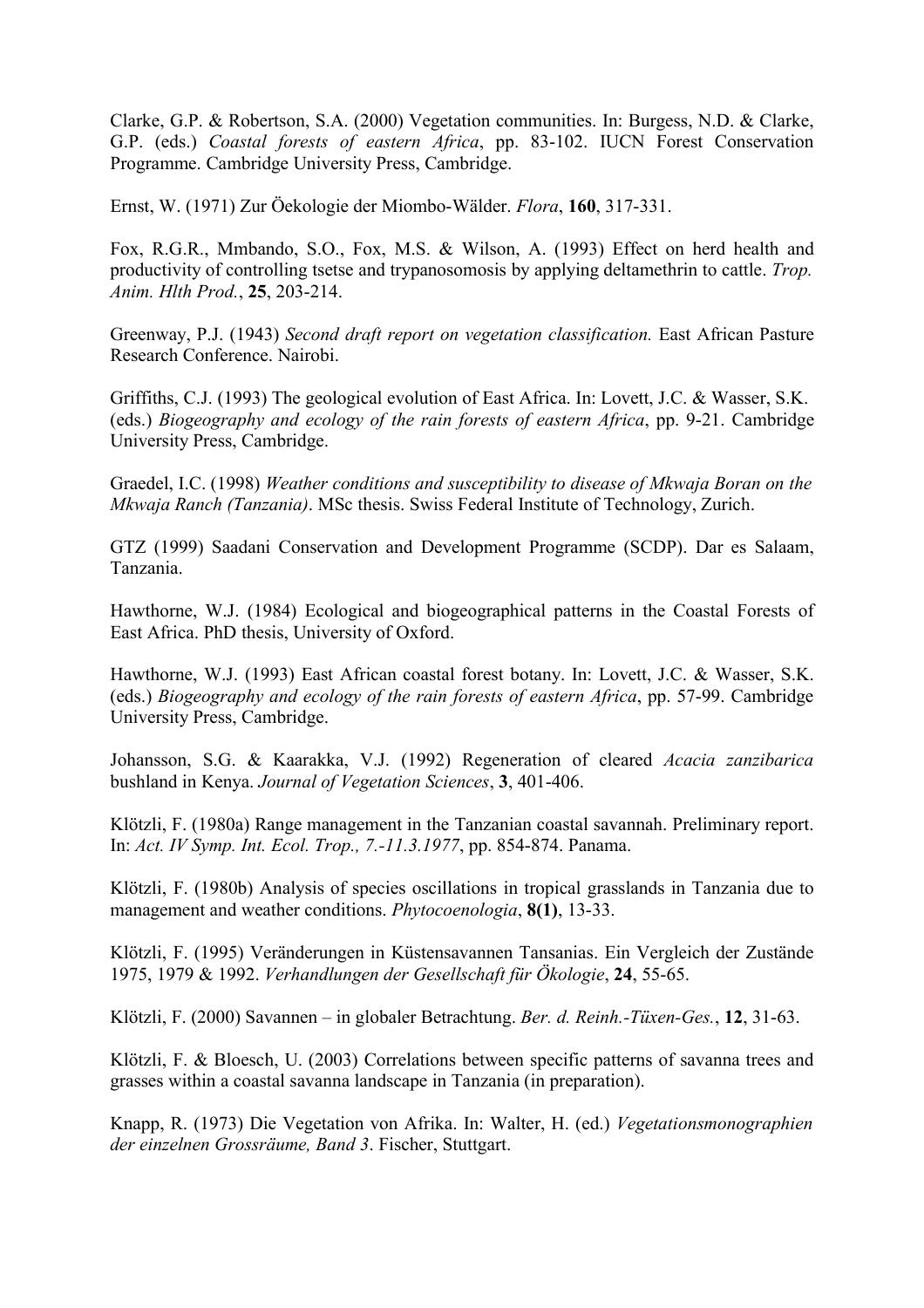Clarke, G.P. & Robertson, S.A. (2000) Vegetation communities. In: Burgess, N.D. & Clarke, G.P. (eds.) *Coastal forests of eastern Africa*, pp. 83-102. IUCN Forest Conservation Programme. Cambridge University Press, Cambridge.

Ernst, W. (1971) Zur Öekologie der Miombo-Wälder. *Flora*, **160**, 317-331.

Fox, R.G.R., Mmbando, S.O., Fox, M.S. & Wilson, A. (1993) Effect on herd health and productivity of controlling tsetse and trypanosomosis by applying deltamethrin to cattle. *Trop. Anim. Hlth Prod.*, **25**, 203-214.

Greenway, P.J. (1943) *Second draft report on vegetation classification.* East African Pasture Research Conference. Nairobi.

Griffiths, C.J. (1993) The geological evolution of East Africa. In: Lovett, J.C. & Wasser, S.K. (eds.) *Biogeography and ecology of the rain forests of eastern Africa*, pp. 9-21. Cambridge University Press, Cambridge.

Graedel, I.C. (1998) *Weather conditions and susceptibility to disease of Mkwaja Boran on the Mkwaja Ranch (Tanzania)*. MSc thesis. Swiss Federal Institute of Technology, Zurich.

GTZ (1999) Saadani Conservation and Development Programme (SCDP). Dar es Salaam, Tanzania.

Hawthorne, W.J. (1984) Ecological and biogeographical patterns in the Coastal Forests of East Africa. PhD thesis, University of Oxford.

Hawthorne, W.J. (1993) East African coastal forest botany. In: Lovett, J.C. & Wasser, S.K. (eds.) *Biogeography and ecology of the rain forests of eastern Africa*, pp. 57-99. Cambridge University Press, Cambridge.

Johansson, S.G. & Kaarakka, V.J. (1992) Regeneration of cleared *Acacia zanzibarica* bushland in Kenya. *Journal of Vegetation Sciences*, **3**, 401-406.

Klötzli, F. (1980a) Range management in the Tanzanian coastal savannah. Preliminary report. In: *Act. IV Symp. Int. Ecol. Trop., 7.-11.3.1977*, pp. 854-874. Panama.

Klötzli, F. (1980b) Analysis of species oscillations in tropical grasslands in Tanzania due to management and weather conditions. *Phytocoenologia*, **8(1)**, 13-33.

Klötzli, F. (1995) Veränderungen in Küstensavannen Tansanias. Ein Vergleich der Zustände 1975, 1979 & 1992. *Verhandlungen der Gesellschaft für Ökologie*, **24**, 55-65.

Klötzli, F. (2000) Savannen – in globaler Betrachtung. *Ber. d. Reinh.-Tüxen-Ges.*, **12**, 31-63.

Klötzli, F. & Bloesch, U. (2003) Correlations between specific patterns of savanna trees and grasses within a coastal savanna landscape in Tanzania (in preparation).

Knapp, R. (1973) Die Vegetation von Afrika. In: Walter, H. (ed.) *Vegetationsmonographien der einzelnen Grossräume, Band 3*. Fischer, Stuttgart.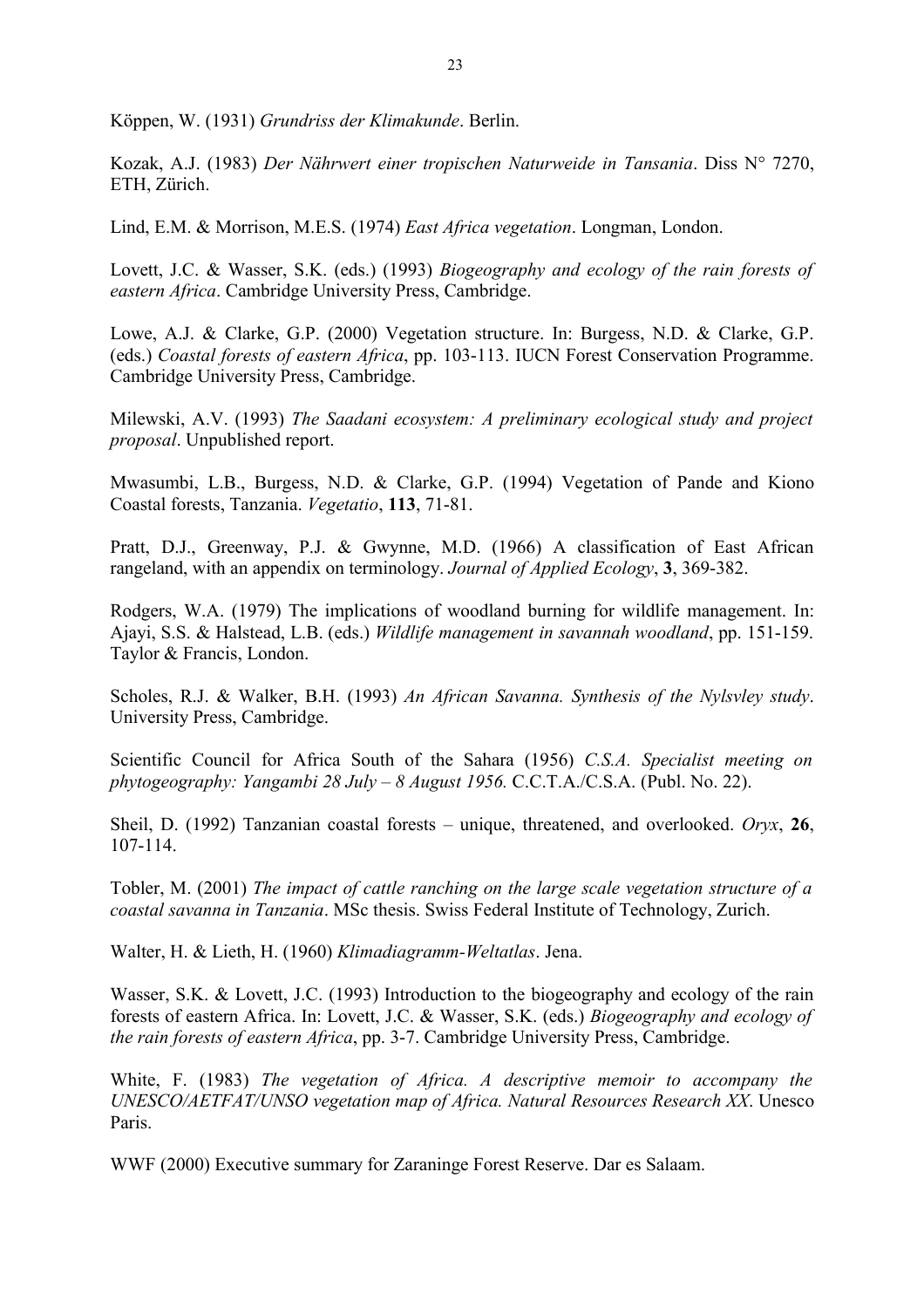Köppen, W. (1931) *Grundriss der Klimakunde*. Berlin.

Kozak, A.J. (1983) *Der Nährwert einer tropischen Naturweide in Tansania*. Diss N° 7270, ETH, Zürich.

Lind, E.M. & Morrison, M.E.S. (1974) *East Africa vegetation*. Longman, London.

Lovett, J.C. & Wasser, S.K. (eds.) (1993) *Biogeography and ecology of the rain forests of eastern Africa*. Cambridge University Press, Cambridge.

Lowe, A.J. & Clarke, G.P. (2000) Vegetation structure. In: Burgess, N.D. & Clarke, G.P. (eds.) *Coastal forests of eastern Africa*, pp. 103-113. IUCN Forest Conservation Programme. Cambridge University Press, Cambridge.

Milewski, A.V. (1993) *The Saadani ecosystem: A preliminary ecological study and project proposal*. Unpublished report.

Mwasumbi, L.B., Burgess, N.D. & Clarke, G.P. (1994) Vegetation of Pande and Kiono Coastal forests, Tanzania. *Vegetatio*, **113**, 71-81.

Pratt, D.J., Greenway, P.J. & Gwynne, M.D. (1966) A classification of East African rangeland, with an appendix on terminology. *Journal of Applied Ecology*, **3**, 369-382.

Rodgers, W.A. (1979) The implications of woodland burning for wildlife management. In: Ajayi, S.S. & Halstead, L.B. (eds.) *Wildlife management in savannah woodland*, pp. 151-159. Taylor & Francis, London.

Scholes, R.J. & Walker, B.H. (1993) *An African Savanna. Synthesis of the Nylsvley study*. University Press, Cambridge.

Scientific Council for Africa South of the Sahara (1956) *C.S.A. Specialist meeting on phytogeography: Yangambi 28 July – 8 August 1956.* C.C.T.A./C.S.A. (Publ. No. 22).

Sheil, D. (1992) Tanzanian coastal forests – unique, threatened, and overlooked. *Oryx*, **26**, 107-114.

Tobler, M. (2001) *The impact of cattle ranching on the large scale vegetation structure of a coastal savanna in Tanzania*. MSc thesis. Swiss Federal Institute of Technology, Zurich.

Walter, H. & Lieth, H. (1960) *Klimadiagramm-Weltatlas*. Jena.

Wasser, S.K. & Lovett, J.C. (1993) Introduction to the biogeography and ecology of the rain forests of eastern Africa. In: Lovett, J.C. & Wasser, S.K. (eds.) *Biogeography and ecology of the rain forests of eastern Africa*, pp. 3-7. Cambridge University Press, Cambridge.

White, F. (1983) *The vegetation of Africa. A descriptive memoir to accompany the UNESCO/AETFAT/UNSO vegetation map of Africa. Natural Resources Research XX*. Unesco Paris.

WWF (2000) Executive summary for Zaraninge Forest Reserve. Dar es Salaam.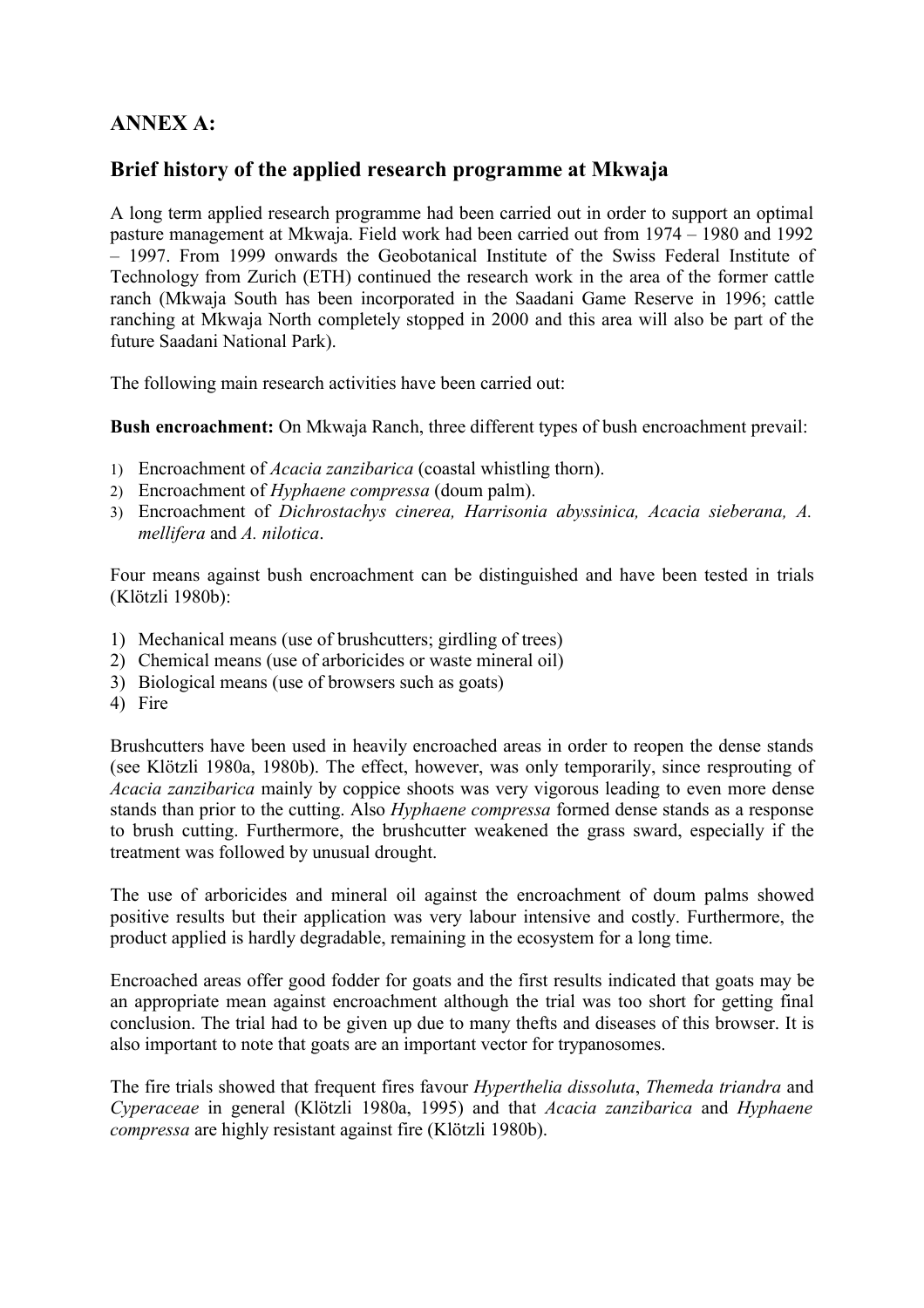# **ANNEX A:**

# **Brief history of the applied research programme at Mkwaja**

A long term applied research programme had been carried out in order to support an optimal pasture management at Mkwaja. Field work had been carried out from 1974 – 1980 and 1992 – 1997. From 1999 onwards the Geobotanical Institute of the Swiss Federal Institute of Technology from Zurich (ETH) continued the research work in the area of the former cattle ranch (Mkwaja South has been incorporated in the Saadani Game Reserve in 1996; cattle ranching at Mkwaja North completely stopped in 2000 and this area will also be part of the future Saadani National Park).

The following main research activities have been carried out:

**Bush encroachment:** On Mkwaja Ranch, three different types of bush encroachment prevail:

- 1) Encroachment of *Acacia zanzibarica* (coastal whistling thorn).
- 2) Encroachment of *Hyphaene compressa* (doum palm).
- 3) Encroachment of *Dichrostachys cinerea, Harrisonia abyssinica, Acacia sieberana, A. mellifera* and *A. nilotica*.

Four means against bush encroachment can be distinguished and have been tested in trials (Klötzli 1980b):

- 1) Mechanical means (use of brushcutters; girdling of trees)
- 2) Chemical means (use of arboricides or waste mineral oil)
- 3) Biological means (use of browsers such as goats)
- 4) Fire

Brushcutters have been used in heavily encroached areas in order to reopen the dense stands (see Klötzli 1980a, 1980b). The effect, however, was only temporarily, since resprouting of *Acacia zanzibarica* mainly by coppice shoots was very vigorous leading to even more dense stands than prior to the cutting. Also *Hyphaene compressa* formed dense stands as a response to brush cutting. Furthermore, the brushcutter weakened the grass sward, especially if the treatment was followed by unusual drought.

The use of arboricides and mineral oil against the encroachment of doum palms showed positive results but their application was very labour intensive and costly. Furthermore, the product applied is hardly degradable, remaining in the ecosystem for a long time.

Encroached areas offer good fodder for goats and the first results indicated that goats may be an appropriate mean against encroachment although the trial was too short for getting final conclusion. The trial had to be given up due to many thefts and diseases of this browser. It is also important to note that goats are an important vector for trypanosomes.

The fire trials showed that frequent fires favour *Hyperthelia dissoluta*, *Themeda triandra* and *Cyperaceae* in general (Klötzli 1980a, 1995) and that *Acacia zanzibarica* and *Hyphaene compressa* are highly resistant against fire (Klötzli 1980b).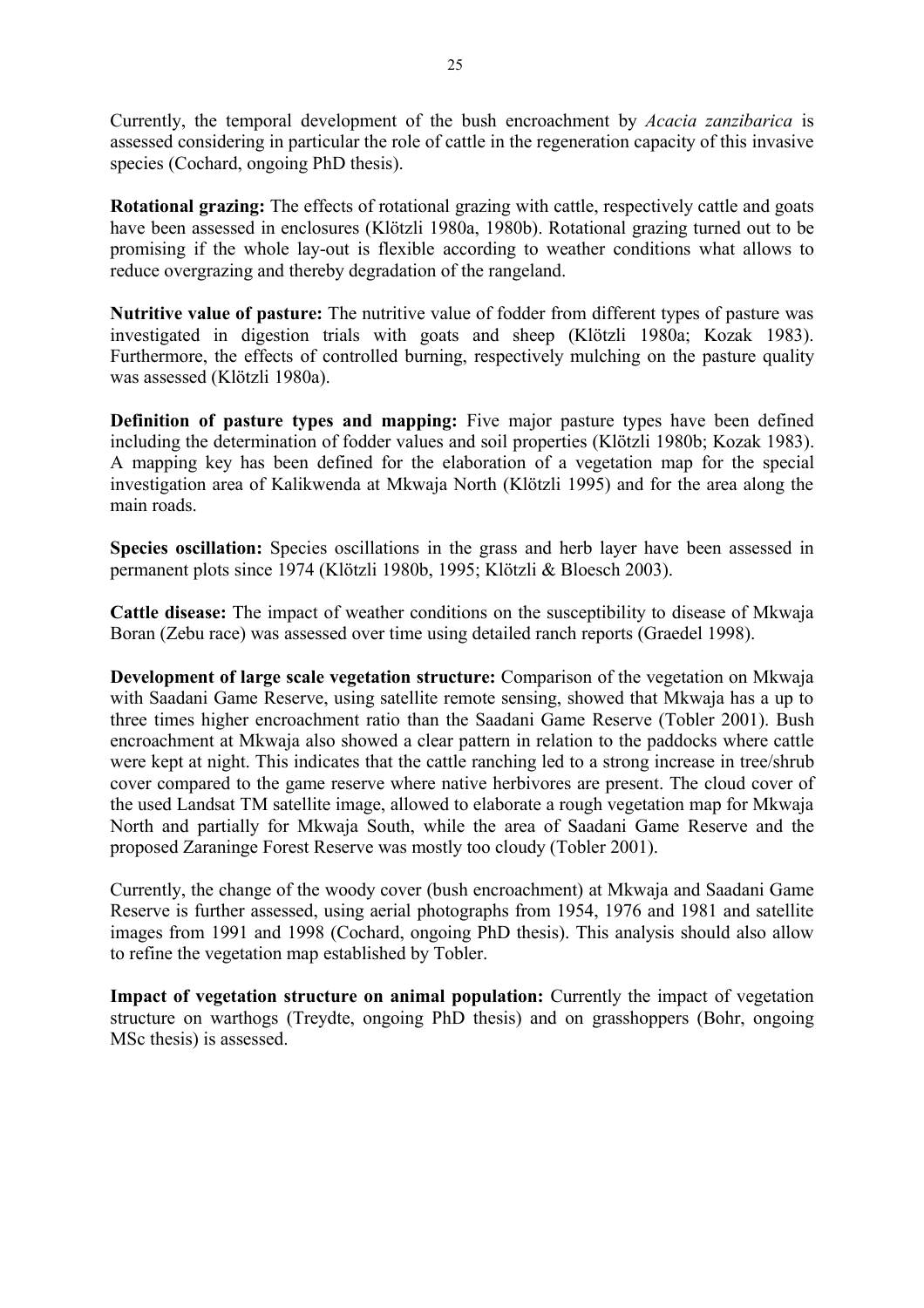Currently, the temporal development of the bush encroachment by *Acacia zanzibarica* is assessed considering in particular the role of cattle in the regeneration capacity of this invasive species (Cochard, ongoing PhD thesis).

**Rotational grazing:** The effects of rotational grazing with cattle, respectively cattle and goats have been assessed in enclosures (Klötzli 1980a, 1980b). Rotational grazing turned out to be promising if the whole lay-out is flexible according to weather conditions what allows to reduce overgrazing and thereby degradation of the rangeland.

**Nutritive value of pasture:** The nutritive value of fodder from different types of pasture was investigated in digestion trials with goats and sheep (Klötzli 1980a; Kozak 1983). Furthermore, the effects of controlled burning, respectively mulching on the pasture quality was assessed (Klötzli 1980a).

**Definition of pasture types and mapping:** Five major pasture types have been defined including the determination of fodder values and soil properties (Klötzli 1980b; Kozak 1983). A mapping key has been defined for the elaboration of a vegetation map for the special investigation area of Kalikwenda at Mkwaja North (Klötzli 1995) and for the area along the main roads.

**Species oscillation:** Species oscillations in the grass and herb layer have been assessed in permanent plots since 1974 (Klötzli 1980b, 1995; Klötzli & Bloesch 2003).

**Cattle disease:** The impact of weather conditions on the susceptibility to disease of Mkwaja Boran (Zebu race) was assessed over time using detailed ranch reports (Graedel 1998).

**Development of large scale vegetation structure:** Comparison of the vegetation on Mkwaja with Saadani Game Reserve, using satellite remote sensing, showed that Mkwaja has a up to three times higher encroachment ratio than the Saadani Game Reserve (Tobler 2001). Bush encroachment at Mkwaja also showed a clear pattern in relation to the paddocks where cattle were kept at night. This indicates that the cattle ranching led to a strong increase in tree/shrub cover compared to the game reserve where native herbivores are present. The cloud cover of the used Landsat TM satellite image, allowed to elaborate a rough vegetation map for Mkwaja North and partially for Mkwaja South, while the area of Saadani Game Reserve and the proposed Zaraninge Forest Reserve was mostly too cloudy (Tobler 2001).

Currently, the change of the woody cover (bush encroachment) at Mkwaja and Saadani Game Reserve is further assessed, using aerial photographs from 1954, 1976 and 1981 and satellite images from 1991 and 1998 (Cochard, ongoing PhD thesis). This analysis should also allow to refine the vegetation map established by Tobler.

**Impact of vegetation structure on animal population:** Currently the impact of vegetation structure on warthogs (Treydte, ongoing PhD thesis) and on grasshoppers (Bohr, ongoing MSc thesis) is assessed.